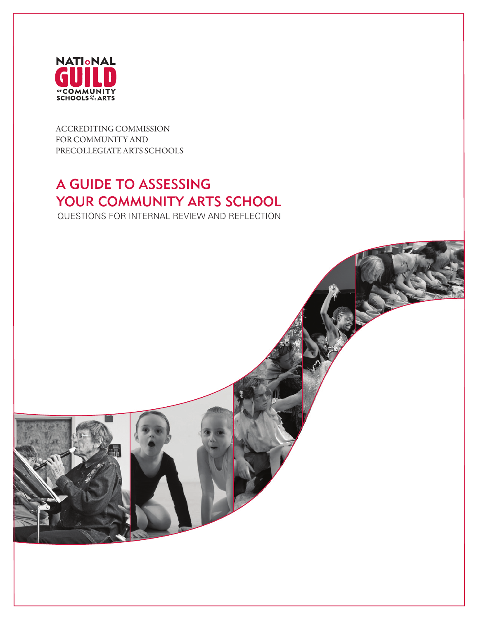

ACCREDITING COMMISSION FOR COMMUNITY AND PRECOLLEGIATE ARTS SCHOOLS

# A GUIDE TO ASSESSING YOUR COMMUNITY ARTS SCHOOL

QUESTIONS FOR INTERNAL REVIEW AND REFLECTION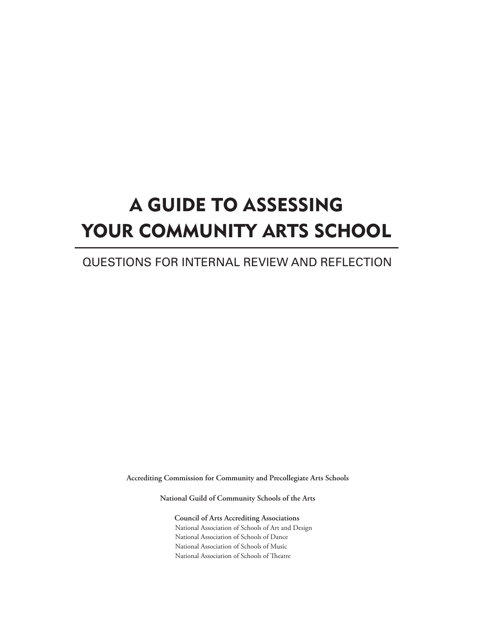# A GUIDE TO ASSESSING YOUR COMMUNITY ARTS SCHOOL

# QUESTIONS FOR INTERNAL REVIEW AND REFLECTION

**Accrediting Commission for Community and Precollegiate Arts Schools**

**National Guild of Community Schools of the Arts**

 **Council of Arts Accrediting Associations** National Association of Schools of Art and Design National Association of Schools of Dance National Association of Schools of Music National Association of Schools of Theatre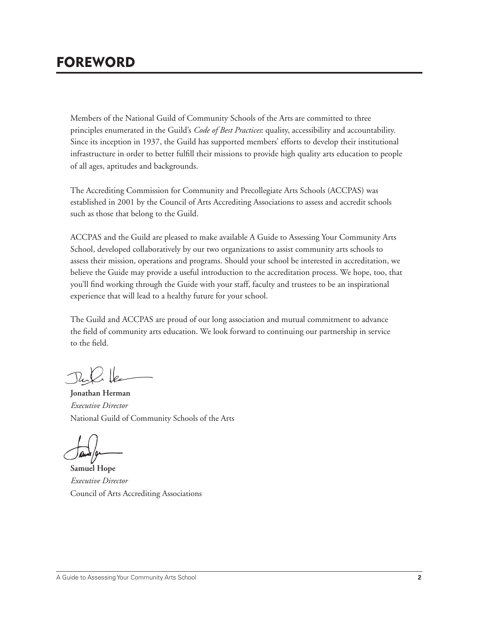# FOREWORD

Members of the National Guild of Community Schools of the Arts are committed to three principles enumerated in the Guild's *Code of Best Practices*: quality, accessibility and accountability. Since its inception in 1937, the Guild has supported members' efforts to develop their institutional infrastructure in order to better fulfill their missions to provide high quality arts education to people of all ages, aptitudes and backgrounds.

The Accrediting Commission for Community and Precollegiate Arts Schools (ACCPAS) was established in 2001 by the Council of Arts Accrediting Associations to assess and accredit schools such as those that belong to the Guild.

ACCPAS and the Guild are pleased to make available A Guide to Assessing Your Community Arts School, developed collaboratively by our two organizations to assist community arts schools to assess their mission, operations and programs. Should your school be interested in accreditation, we believe the Guide may provide a useful introduction to the accreditation process. We hope, too, that you'll find working through the Guide with your staff, faculty and trustees to be an inspirational experience that will lead to a healthy future for your school.

The Guild and ACCPAS are proud of our long association and mutual commitment to advance the field of community arts education. We look forward to continuing our partnership in service to the field.

**Jonathan Herman**  *Executive Director*  National Guild of Community Schools of the Arts

**Samuel Hope** *Executive Director* Council of Arts Accrediting Associations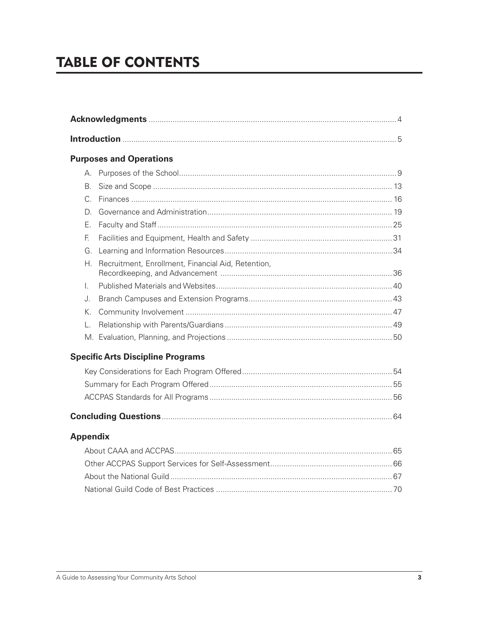# **TABLE OF CONTENTS**

|                | <b>Purposes and Operations</b>                     |  |  |  |  |  |  |  |
|----------------|----------------------------------------------------|--|--|--|--|--|--|--|
|                |                                                    |  |  |  |  |  |  |  |
| B <sub>1</sub> |                                                    |  |  |  |  |  |  |  |
| C.             |                                                    |  |  |  |  |  |  |  |
| D.             |                                                    |  |  |  |  |  |  |  |
| Ε.             |                                                    |  |  |  |  |  |  |  |
| F.             |                                                    |  |  |  |  |  |  |  |
| G.             |                                                    |  |  |  |  |  |  |  |
| Н.             | Recruitment, Enrollment, Financial Aid, Retention, |  |  |  |  |  |  |  |
| L.             |                                                    |  |  |  |  |  |  |  |
| J.             |                                                    |  |  |  |  |  |  |  |
| К.             |                                                    |  |  |  |  |  |  |  |
|                |                                                    |  |  |  |  |  |  |  |
|                |                                                    |  |  |  |  |  |  |  |
|                | <b>Specific Arts Discipline Programs</b>           |  |  |  |  |  |  |  |
|                |                                                    |  |  |  |  |  |  |  |
|                |                                                    |  |  |  |  |  |  |  |

## **Appendix**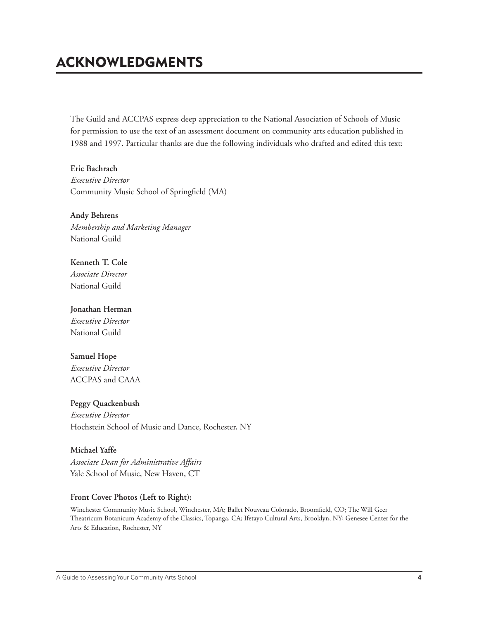# ACKNOWLEDGMENTS

The Guild and ACCPAS express deep appreciation to the National Association of Schools of Music for permission to use the text of an assessment document on community arts education published in 1988 and 1997. Particular thanks are due the following individuals who drafted and edited this text:

**Eric Bachrach** *Executive Director* Community Music School of Springfield (MA)

**Andy Behrens** *Membership and Marketing Manager* National Guild

**Kenneth T. Cole** *Associate Director* National Guild

### **Jonathan Herman**

*Executive Director* National Guild

### **Samuel Hope**

*Executive Director* ACCPAS and CAAA

**Peggy Quackenbush**

*Executive Director* Hochstein School of Music and Dance, Rochester, NY

#### **Michael Yaffe**

*Associate Dean for Administrative Affairs* Yale School of Music, New Haven, CT

#### **Front Cover Photos (Left to Right):**

Winchester Community Music School, Winchester, MA; Ballet Nouveau Colorado, Broomfield, CO; The Will Geer Theatricum Botanicum Academy of the Classics, Topanga, CA; Ifetayo Cultural Arts, Brooklyn, NY; Genesee Center for the Arts & Education, Rochester, NY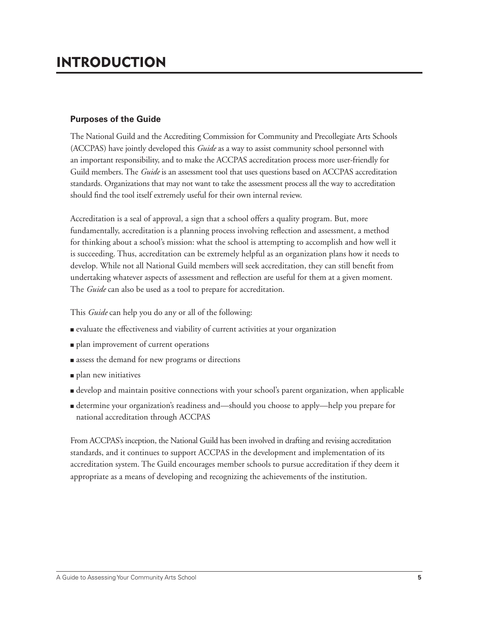### **Purposes of the Guide**

The National Guild and the Accrediting Commission for Community and Precollegiate Arts Schools (ACCPAS) have jointly developed this *Guide* as a way to assist community school personnel with an important responsibility, and to make the ACCPAS accreditation process more user-friendly for Guild members. The *Guide* is an assessment tool that uses questions based on ACCPAS accreditation standards. Organizations that may not want to take the assessment process all the way to accreditation should find the tool itself extremely useful for their own internal review.

Accreditation is a seal of approval, a sign that a school offers a quality program. But, more fundamentally, accreditation is a planning process involving reflection and assessment, a method for thinking about a school's mission: what the school is attempting to accomplish and how well it is succeeding. Thus, accreditation can be extremely helpful as an organization plans how it needs to develop. While not all National Guild members will seek accreditation, they can still benefit from undertaking whatever aspects of assessment and reflection are useful for them at a given moment. The *Guide* can also be used as a tool to prepare for accreditation.

This *Guide* can help you do any or all of the following:

- evaluate the effectiveness and viability of current activities at your organization
- plan improvement of current operations
- assess the demand for new programs or directions
- plan new initiatives
- develop and maintain positive connections with your school's parent organization, when applicable
- determine your organization's readiness and—should you choose to apply—help you prepare for national accreditation through ACCPAS

From ACCPAS's inception, the National Guild has been involved in drafting and revising accreditation standards, and it continues to support ACCPAS in the development and implementation of its accreditation system. The Guild encourages member schools to pursue accreditation if they deem it appropriate as a means of developing and recognizing the achievements of the institution.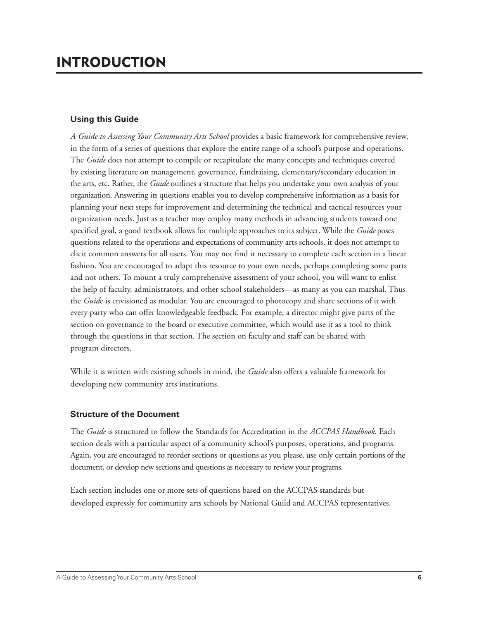### **Using this Guide**

*A Guide to Assessing Your Community Arts School* provides a basic framework for comprehensive review, in the form of a series of questions that explore the entire range of a school's purpose and operations. The *Guide* does not attempt to compile or recapitulate the many concepts and techniques covered by existing literature on management, governance, fundraising, elementary/secondary education in the arts, etc. Rather, the *Guide* outlines a structure that helps you undertake your own analysis of your organization. Answering its questions enables you to develop comprehensive information as a basis for planning your next steps for improvement and determining the technical and tactical resources your organization needs. Just as a teacher may employ many methods in advancing students toward one specified goal, a good textbook allows for multiple approaches to its subject. While the *Guide* poses questions related to the operations and expectations of community arts schools, it does not attempt to elicit common answers for all users. You may not find it necessary to complete each section in a linear fashion. You are encouraged to adapt this resource to your own needs, perhaps completing some parts and not others. To mount a truly comprehensive assessment of your school, you will want to enlist the help of faculty, administrators, and other school stakeholders—as many as you can marshal. Thus the *Guid*e is envisioned as modular. You are encouraged to photocopy and share sections of it with every party who can offer knowledgeable feedback. For example, a director might give parts of the section on governance to the board or executive committee, which would use it as a tool to think through the questions in that section. The section on faculty and staff can be shared with program directors.

While it is written with existing schools in mind, the *Guide* also offers a valuable framework for developing new community arts institutions.

### **Structure of the Document**

The *Guide* is structured to follow the Standards for Accreditation in the *ACCPAS Handbook*. Each section deals with a particular aspect of a community school's purposes, operations, and programs. Again, you are encouraged to reorder sections or questions as you please, use only certain portions of the document, or develop new sections and questions as necessary to review your programs.

Each section includes one or more sets of questions based on the ACCPAS standards but developed expressly for community arts schools by National Guild and ACCPAS representatives.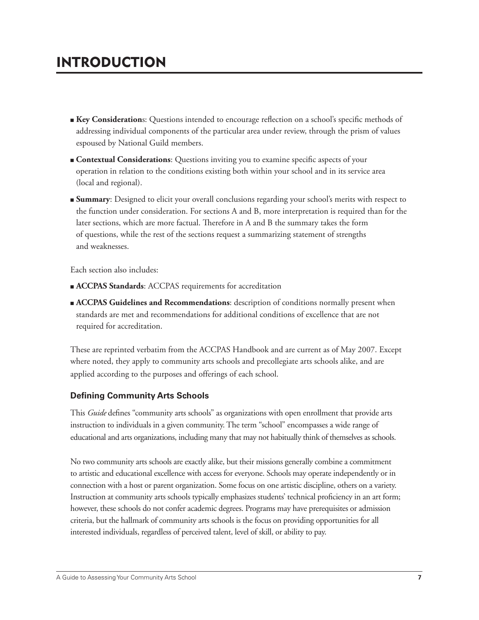- **Example 2 Key Considerations:** Questions intended to encourage reflection on a school's specific methods of addressing individual components of the particular area under review, through the prism of values espoused by National Guild members.
- **Contextual Considerations:** Questions inviting you to examine specific aspects of your operation in relation to the conditions existing both within your school and in its service area (local and regional).
- **Summary**: Designed to elicit your overall conclusions regarding your school's merits with respect to the function under consideration. For sections A and B, more interpretation is required than for the later sections, which are more factual. Therefore in A and B the summary takes the form of questions, while the rest of the sections request a summarizing statement of strengths and weaknesses.

Each section also includes:

- **ACCPAS Standards**: ACCPAS requirements for accreditation
- **ACCPAS Guidelines and Recommendations:** description of conditions normally present when standards are met and recommendations for additional conditions of excellence that are not required for accreditation.

These are reprinted verbatim from the ACCPAS Handbook and are current as of May 2007. Except where noted, they apply to community arts schools and precollegiate arts schools alike, and are applied according to the purposes and offerings of each school.

### **Defining Community Arts Schools**

This *Guide* defines "community arts schools" as organizations with open enrollment that provide arts instruction to individuals in a given community. The term "school" encompasses a wide range of educational and arts organizations, including many that may not habitually think of themselves as schools.

No two community arts schools are exactly alike, but their missions generally combine a commitment to artistic and educational excellence with access for everyone. Schools may operate independently or in connection with a host or parent organization. Some focus on one artistic discipline, others on a variety. Instruction at community arts schools typically emphasizes students' technical proficiency in an art form; however, these schools do not confer academic degrees. Programs may have prerequisites or admission criteria, but the hallmark of community arts schools is the focus on providing opportunities for all interested individuals, regardless of perceived talent, level of skill, or ability to pay.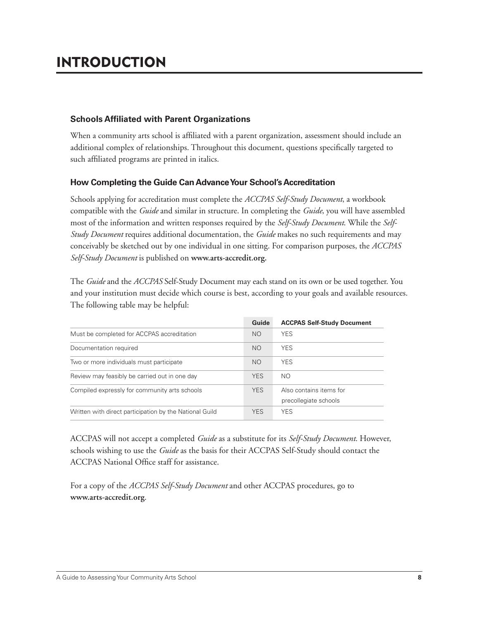### **Schools Affiliated with Parent Organizations**

When a community arts school is affiliated with a parent organization, assessment should include an additional complex of relationships. Throughout this document, questions specifically targeted to such affiliated programs are printed in italics.

### **How Completing the Guide Can Advance Your School's Accreditation**

Schools applying for accreditation must complete the *ACCPAS Self-Study Document*, a workbook compatible with the *Guide* and similar in structure. In completing the *Guide*, you will have assembled most of the information and written responses required by the *Self-Study Document*. While the *Self-Study Document* requires additional documentation, the *Guide* makes no such requirements and may conceivably be sketched out by one individual in one sitting. For comparison purposes, the *ACCPAS Self-Study Document* is published on **www.arts-accredit.org.**

The *Guide* and the *ACCPAS* Self-Study Document may each stand on its own or be used together. You and your institution must decide which course is best, according to your goals and available resources. The following table may be helpful:

|                                                         | Guide          | <b>ACCPAS Self-Study Document</b>                |
|---------------------------------------------------------|----------------|--------------------------------------------------|
| Must be completed for ACCPAS accreditation              | <b>NO</b>      | <b>YES</b>                                       |
| Documentation required                                  | <b>NO</b>      | <b>YES</b>                                       |
| Two or more individuals must participate                | N <sub>O</sub> | <b>YES</b>                                       |
| Review may feasibly be carried out in one day           | <b>YES</b>     | NO.                                              |
| Compiled expressly for community arts schools           | <b>YES</b>     | Also contains items for<br>precollegiate schools |
| Written with direct participation by the National Guild | <b>YES</b>     | <b>YES</b>                                       |

ACCPAS will not accept a completed *Guide* as a substitute for its *Self-Study Document*. However, schools wishing to use the *Guide* as the basis for their ACCPAS Self-Study should contact the ACCPAS National Office staff for assistance.

For a copy of the *ACCPAS Self-Study Document* and other ACCPAS procedures, go to **www.arts-accredit.org**.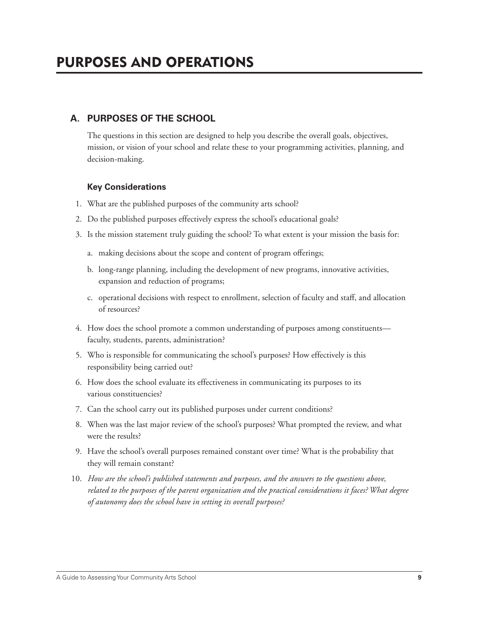## **A. PURPOSES OF THE SCHOOL**

 The questions in this section are designed to help you describe the overall goals, objectives, mission, or vision of your school and relate these to your programming activities, planning, and decision-making.

### **Key Considerations**

- 1. What are the published purposes of the community arts school?
- 2. Do the published purposes effectively express the school's educational goals?
- 3. Is the mission statement truly guiding the school? To what extent is your mission the basis for:
	- a. making decisions about the scope and content of program offerings;
	- b. long-range planning, including the development of new programs, innovative activities, expansion and reduction of programs;
	- c. operational decisions with respect to enrollment, selection of faculty and staff , and allocation of resources?
- 4. How does the school promote a common understanding of purposes among constituents faculty, students, parents, administration?
- 5. Who is responsible for communicating the school's purposes? How effectively is this responsibility being carried out?
- 6. How does the school evaluate its effectiveness in communicating its purposes to its various constituencies?
- 7. Can the school carry out its published purposes under current conditions?
- 8. When was the last major review of the school's purposes? What prompted the review, and what were the results?
- 9. Have the school's overall purposes remained constant over time? What is the probability that they will remain constant?
- 10. *How are the school's published statements and purposes, and the answers to the questions above, related to the purposes of the parent organization and the practical considerations it faces? What degree of autonomy does the school have in setting its overall purposes?*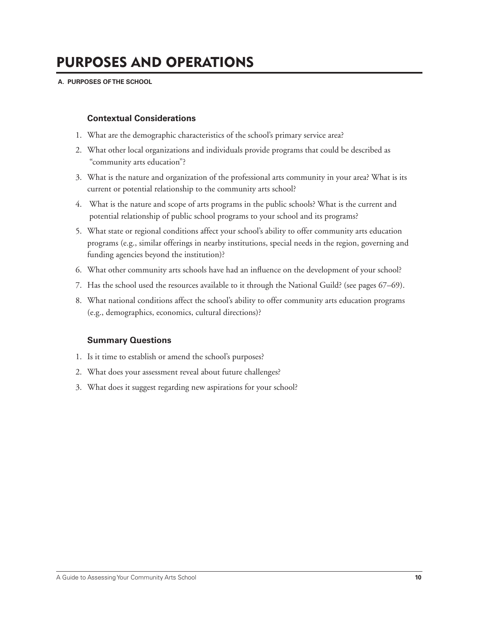#### **A. PURPOSES OF THE SCHOOL**

### **Contextual Considerations**

- 1. What are the demographic characteristics of the school's primary service area?
- 2. What other local organizations and individuals provide programs that could be described as "community arts education"?
- 3. What is the nature and organization of the professional arts community in your area? What is its current or potential relationship to the community arts school?
- 4. What is the nature and scope of arts programs in the public schools? What is the current and potential relationship of public school programs to your school and its programs?
- 5. What state or regional conditions affect your school's ability to offer community arts education programs (e.g., similar offerings in nearby institutions, special needs in the region, governing and funding agencies beyond the institution)?
- 6. What other community arts schools have had an influence on the development of your school?
- 7. Has the school used the resources available to it through the National Guild? (see pages 67–69).
- 8. What national conditions affect the school's ability to offer community arts education programs (e.g., demographics, economics, cultural directions)?

#### **Summary Questions**

- 1. Is it time to establish or amend the school's purposes?
- 2. What does your assessment reveal about future challenges?
- 3. What does it suggest regarding new aspirations for your school?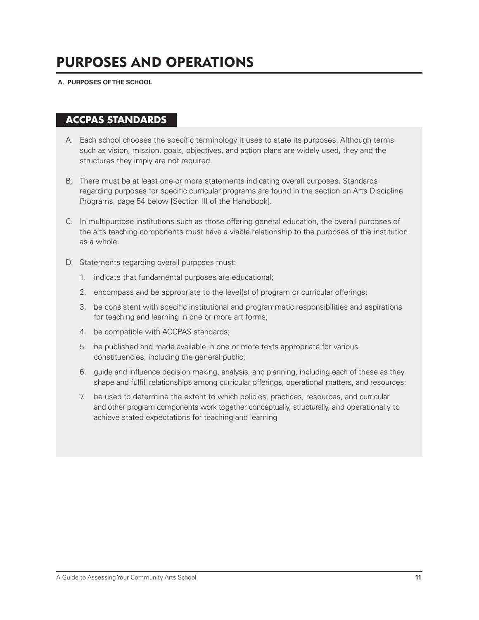#### **A. PURPOSES OF THE SCHOOL**

## **ACCPAS STANDARDS**

- A. Each school chooses the specific terminology it uses to state its purposes. Although terms such as vision, mission, goals, objectives, and action plans are widely used, they and the structures they imply are not required.
- B. There must be at least one or more statements indicating overall purposes. Standards regarding purposes for specific curricular programs are found in the section on Arts Discipline Programs, page 54 below [Section III of the Handbook].
- C. In multipurpose institutions such as those offering general education, the overall purposes of the arts teaching components must have a viable relationship to the purposes of the institution as a whole.
- D. Statements regarding overall purposes must:
	- 1. indicate that fundamental purposes are educational;
	- 2. encompass and be appropriate to the level(s) of program or curricular offerings;
	- 3. be consistent with specific institutional and programmatic responsibilities and aspirations for teaching and learning in one or more art forms;
	- 4. be compatible with ACCPAS standards;
	- 5. be published and made available in one or more texts appropriate for various constituencies, including the general public;
	- 6. guide and influence decision making, analysis, and planning, including each of these as they shape and fulfill relationships among curricular offerings, operational matters, and resources;
	- 7. be used to determine the extent to which policies, practices, resources, and curricular and other program components work together conceptually, structurally, and operationally to achieve stated expectations for teaching and learning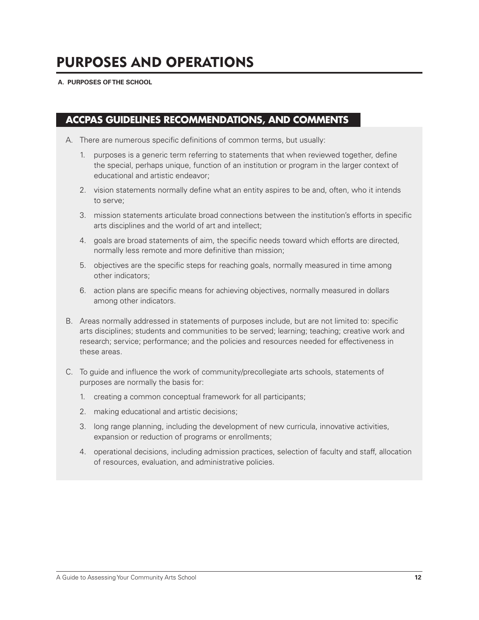#### **A. PURPOSES OF THE SCHOOL**

## **ACCPAS GUIDELINES RECOMMENDATIONS, AND COMMENTS**

- A. There are numerous specific definitions of common terms, but usually:
	- 1. purposes is a generic term referring to statements that when reviewed together, define the special, perhaps unique, function of an institution or program in the larger context of educational and artistic endeavor;
	- 2. vision statements normally define what an entity aspires to be and, often, who it intends to serve;
	- 3. mission statements articulate broad connections between the institution's efforts in specific arts disciplines and the world of art and intellect;
	- 4. goals are broad statements of aim, the specific needs toward which efforts are directed, normally less remote and more definitive than mission;
	- 5. objectives are the specific steps for reaching goals, normally measured in time among other indicators;
	- 6. action plans are specific means for achieving objectives, normally measured in dollars among other indicators.
- B. Areas normally addressed in statements of purposes include, but are not limited to: specific arts disciplines; students and communities to be served; learning; teaching; creative work and research; service; performance; and the policies and resources needed for effectiveness in these areas.
- C. To guide and influence the work of community/precollegiate arts schools, statements of purposes are normally the basis for:
	- 1. creating a common conceptual framework for all participants;
	- 2. making educational and artistic decisions;
	- 3. long range planning, including the development of new curricula, innovative activities, expansion or reduction of programs or enrollments;
	- 4. operational decisions, including admission practices, selection of faculty and staff, allocation of resources, evaluation, and administrative policies.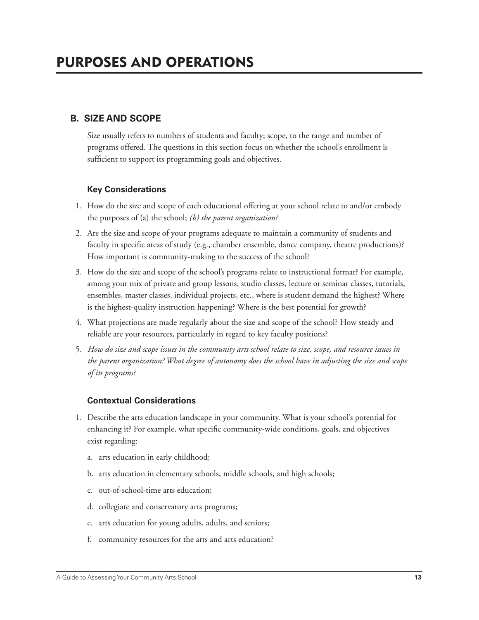## **B. SIZE AND SCOPE**

 Size usually refers to numbers of students and faculty; scope, to the range and number of programs offered. The questions in this section focus on whether the school's enrollment is sufficient to support its programming goals and objectives.

### **Key Considerations**

- 1. How do the size and scope of each educational offering at your school relate to and/or embody the purposes of (a) the school; *(b) the parent organization?*
- 2. Are the size and scope of your programs adequate to maintain a community of students and faculty in specific areas of study (e.g., chamber ensemble, dance company, theatre productions)? How important is community-making to the success of the school?
- 3. How do the size and scope of the school's programs relate to instructional format? For example, among your mix of private and group lessons, studio classes, lecture or seminar classes, tutorials, ensembles, master classes, individual projects, etc., where is student demand the highest? Where is the highest-quality instruction happening? Where is the best potential for growth?
- 4. What projections are made regularly about the size and scope of the school? How steady and reliable are your resources, particularly in regard to key faculty positions?
- 5. *How do size and scope issues in the community arts school relate to size, scope, and resource issues in the parent organization? What degree of autonomy does the school have in adjusting the size and scope of its programs?*

### **Contextual Considerations**

- 1. Describe the arts education landscape in your community. What is your school's potential for enhancing it? For example, what specific community-wide conditions, goals, and objectives exist regarding:
	- a. arts education in early childhood;
	- b. arts education in elementary schools, middle schools, and high schools;
	- c. out-of-school-time arts education;
	- d. collegiate and conservatory arts programs;
	- e. arts education for young adults, adults, and seniors;
	- f. community resources for the arts and arts education?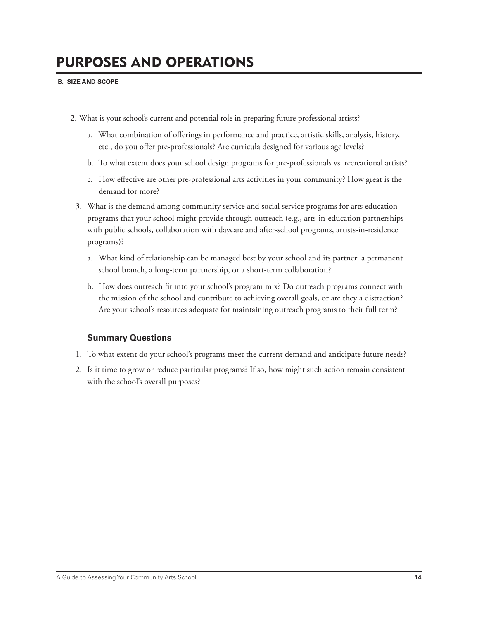#### **B. SIZE AND SCOPE**

- 2. What is your school's current and potential role in preparing future professional artists?
	- a. What combination of offerings in performance and practice, artistic skills, analysis, history, etc., do you offer pre-professionals? Are curricula designed for various age levels?
	- b. To what extent does your school design programs for pre-professionals vs. recreational artists?
	- c. How effective are other pre-professional arts activities in your community? How great is the demand for more?
	- 3. What is the demand among community service and social service programs for arts education programs that your school might provide through outreach (e.g., arts-in-education partnerships with public schools, collaboration with daycare and after-school programs, artists-in-residence programs)?
		- a. What kind of relationship can be managed best by your school and its partner: a permanent school branch, a long-term partnership, or a short-term collaboration?
		- b. How does outreach fi t into your school's program mix? Do outreach programs connect with the mission of the school and contribute to achieving overall goals, or are they a distraction? Are your school's resources adequate for maintaining outreach programs to their full term?

### **Summary Questions**

- 1. To what extent do your school's programs meet the current demand and anticipate future needs?
- 2. Is it time to grow or reduce particular programs? If so, how might such action remain consistent with the school's overall purposes?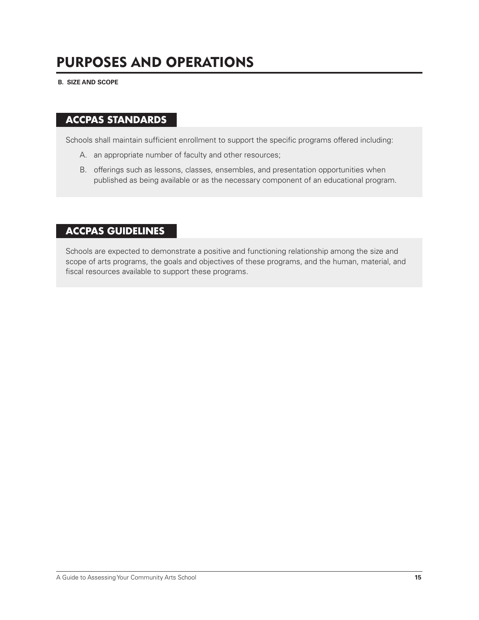**B. SIZE AND SCOPE**

## **ACCPAS STANDARDS**

Schools shall maintain sufficient enrollment to support the specific programs offered including:

- A. an appropriate number of faculty and other resources;
- B. offerings such as lessons, classes, ensembles, and presentation opportunities when published as being available or as the necessary component of an educational program.

## **ACCPAS GUIDELINES**

Schools are expected to demonstrate a positive and functioning relationship among the size and scope of arts programs, the goals and objectives of these programs, and the human, material, and fiscal resources available to support these programs.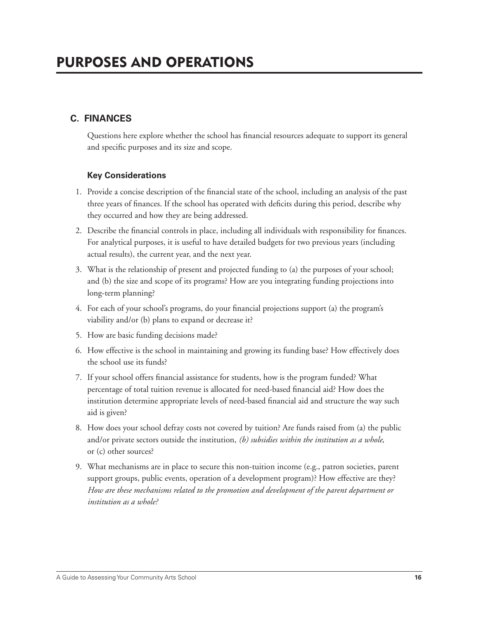## **C. FINANCES**

Questions here explore whether the school has financial resources adequate to support its general and specific purposes and its size and scope.

### **Key Considerations**

- 1. Provide a concise description of the financial state of the school, including an analysis of the past three years of finances. If the school has operated with deficits during this period, describe why they occurred and how they are being addressed.
- 2. Describe the financial controls in place, including all individuals with responsibility for finances. For analytical purposes, it is useful to have detailed budgets for two previous years (including actual results), the current year, and the next year.
- 3. What is the relationship of present and projected funding to (a) the purposes of your school; and (b) the size and scope of its programs? How are you integrating funding projections into long-term planning?
- 4. For each of your school's programs, do your financial projections support (a) the program's viability and/or (b) plans to expand or decrease it?
- 5. How are basic funding decisions made?
- 6. How effective is the school in maintaining and growing its funding base? How effectively does the school use its funds?
- 7. If your school offers financial assistance for students, how is the program funded? What percentage of total tuition revenue is allocated for need-based financial aid? How does the institution determine appropriate levels of need-based financial aid and structure the way such aid is given?
- 8. How does your school defray costs not covered by tuition? Are funds raised from (a) the public and/or private sectors outside the institution, *(b) subsidies within the institution as a whole*, or (c) other sources?
- 9. What mechanisms are in place to secure this non-tuition income (e.g., patron societies, parent support groups, public events, operation of a development program)? How effective are they? *How are these mechanisms related to the promotion and development of the parent department or institution as a whole?*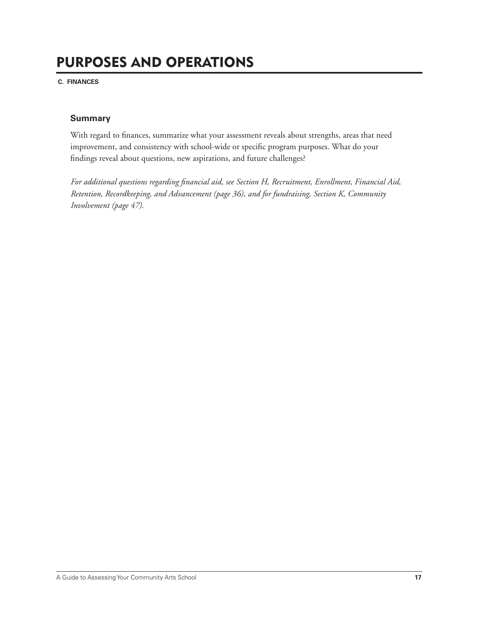**C. FINANCES**

### **Summary**

With regard to finances, summarize what your assessment reveals about strengths, areas that need improvement, and consistency with school-wide or specific program purposes. What do your findings reveal about questions, new aspirations, and future challenges?

For additional questions regarding financial aid, see Section H, Recruitment, Enrollment, Financial Aid, *Retention, Recordkeeping, and Advancement (page 36), and for fundraising, Section K, Community Involvement (page 47).*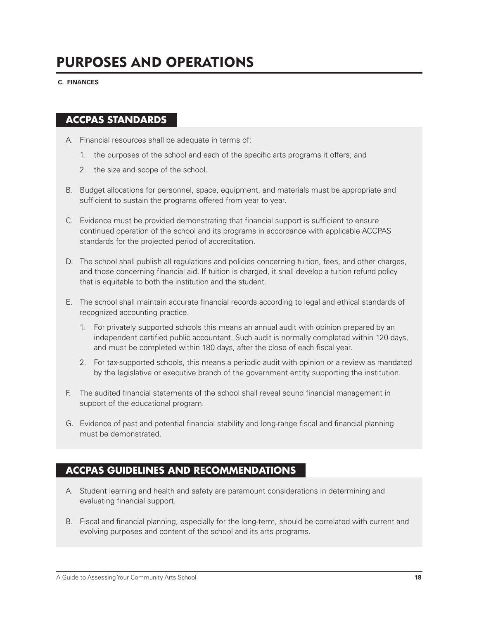**C. FINANCES**

## **ACCPAS STANDARDS**

- A. Financial resources shall be adequate in terms of:
	- 1. the purposes of the school and each of the specific arts programs it offers; and
	- 2. the size and scope of the school.
- B. Budget allocations for personnel, space, equipment, and materials must be appropriate and sufficient to sustain the programs offered from year to year.
- C. Evidence must be provided demonstrating that financial support is sufficient to ensure continued operation of the school and its programs in accordance with applicable ACCPAS standards for the projected period of accreditation.
- D. The school shall publish all regulations and policies concerning tuition, fees, and other charges, and those concerning financial aid. If tuition is charged, it shall develop a tuition refund policy that is equitable to both the institution and the student.
- E. The school shall maintain accurate financial records according to legal and ethical standards of recognized accounting practice.
	- 1. For privately supported schools this means an annual audit with opinion prepared by an independent certified public accountant. Such audit is normally completed within 120 days, and must be completed within 180 days, after the close of each fiscal year.
	- 2. For tax-supported schools, this means a periodic audit with opinion or a review as mandated by the legislative or executive branch of the government entity supporting the institution.
- F. The audited financial statements of the school shall reveal sound financial management in support of the educational program.
- G. Evidence of past and potential financial stability and long-range fiscal and financial planning must be demonstrated.

## **ACCPAS GUIDELINES AND RECOMMENDATIONS**

- A. Student learning and health and safety are paramount considerations in determining and evaluating financial support.
- B. Fiscal and financial planning, especially for the long-term, should be correlated with current and evolving purposes and content of the school and its arts programs.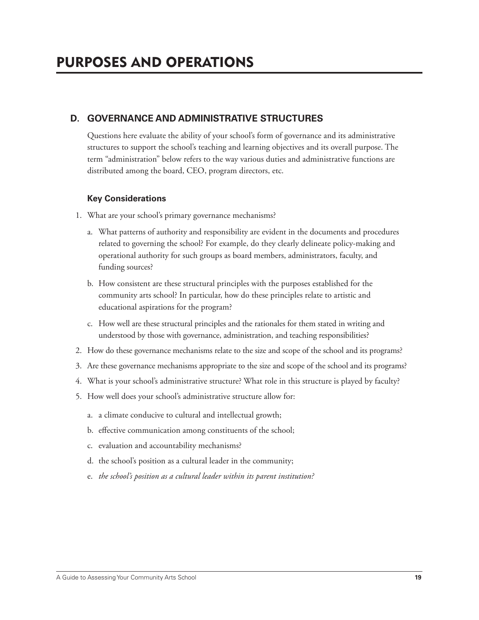## **D. GOVERNANCE AND ADMINISTRATIVE STRUCTURES**

 Questions here evaluate the ability of your school's form of governance and its administrative structures to support the school's teaching and learning objectives and its overall purpose. The term "administration" below refers to the way various duties and administrative functions are distributed among the board, CEO, program directors, etc.

## **Key Considerations**

- 1. What are your school's primary governance mechanisms?
	- a. What patterns of authority and responsibility are evident in the documents and procedures related to governing the school? For example, do they clearly delineate policy-making and operational authority for such groups as board members, administrators, faculty, and funding sources?
	- b. How consistent are these structural principles with the purposes established for the community arts school? In particular, how do these principles relate to artistic and educational aspirations for the program?
	- c. How well are these structural principles and the rationales for them stated in writing and understood by those with governance, administration, and teaching responsibilities?
- 2. How do these governance mechanisms relate to the size and scope of the school and its programs?
- 3. Are these governance mechanisms appropriate to the size and scope of the school and its programs?
- 4. What is your school's administrative structure? What role in this structure is played by faculty?
- 5. How well does your school's administrative structure allow for:
	- a. a climate conducive to cultural and intellectual growth;
	- b. effective communication among constituents of the school;
	- c. evaluation and accountability mechanisms?
	- d. the school's position as a cultural leader in the community;
	- e. *the school's position as a cultural leader within its parent institution?*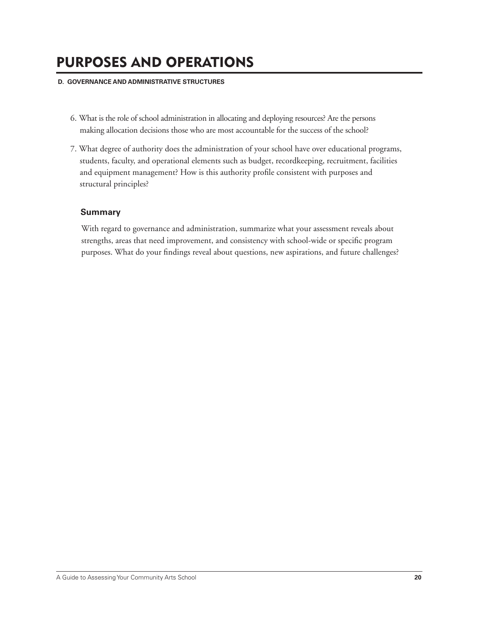#### **D. GOVERNANCE AND ADMINISTRATIVE STRUCTURES**

- 6. What is the role of school administration in allocating and deploying resources? Are the persons making allocation decisions those who are most accountable for the success of the school?
- 7. What degree of authority does the administration of your school have over educational programs, students, faculty, and operational elements such as budget, recordkeeping, recruitment, facilities and equipment management? How is this authority profile consistent with purposes and structural principles?

### **Summary**

 With regard to governance and administration, summarize what your assessment reveals about strengths, areas that need improvement, and consistency with school-wide or specific program purposes. What do your findings reveal about questions, new aspirations, and future challenges?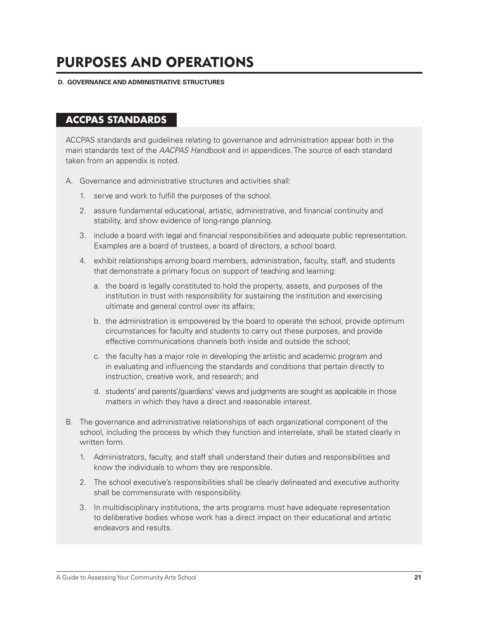#### **D. GOVERNANCE AND ADMINISTRATIVE STRUCTURES**

## **ACCPAS STANDARDS**

ACCPAS standards and guidelines relating to governance and administration appear both in the main standards text of the *AACPAS Handbook* and in appendices. The source of each standard taken from an appendix is noted.

- A. Governance and administrative structures and activities shall:
	- 1. serve and work to fulfill the purposes of the school.
	- 2. assure fundamental educational, artistic, administrative, and financial continuity and stability, and show evidence of long-range planning.
	- 3. include a board with legal and financial responsibilities and adequate public representation. Examples are a board of trustees, a board of directors, a school board.
	- 4. exhibit relationships among board members, administration, faculty, staff, and students that demonstrate a primary focus on support of teaching and learning:
		- a. the board is legally constituted to hold the property, assets, and purposes of the institution in trust with responsibility for sustaining the institution and exercising ultimate and general control over its affairs;
		- b. the administration is empowered by the board to operate the school, provide optimum circumstances for faculty and students to carry out these purposes, and provide effective communications channels both inside and outside the school;
		- c. the faculty has a major role in developing the artistic and academic program and in evaluating and influencing the standards and conditions that pertain directly to instruction, creative work, and research; and
		- d. students' and parents'/guardians' views and judgments are sought as applicable in those matters in which they have a direct and reasonable interest.
- B. The governance and administrative relationships of each organizational component of the school, including the process by which they function and interrelate, shall be stated clearly in written form.
	- 1. Administrators, faculty, and staff shall understand their duties and responsibilities and know the individuals to whom they are responsible.
	- 2. The school executive's responsibilities shall be clearly delineated and executive authority shall be commensurate with responsibility.
	- 3. In multidisciplinary institutions, the arts programs must have adequate representation to deliberative bodies whose work has a direct impact on their educational and artistic endeavors and results.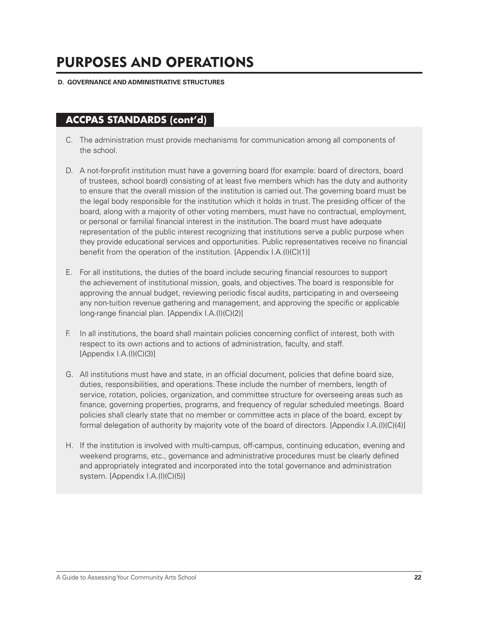#### **D. GOVERNANCE AND ADMINISTRATIVE STRUCTURES**

# **ACCPAS STANDARDS (cont'd)**

- C. The administration must provide mechanisms for communication among all components of the school.
- D. A not-for-profit institution must have a governing board (for example: board of directors, board of trustees, school board) consisting of at least five members which has the duty and authority to ensure that the overall mission of the institution is carried out. The governing board must be the legal body responsible for the institution which it holds in trust. The presiding officer of the board, along with a majority of other voting members, must have no contractual, employment, or personal or familial financial interest in the institution. The board must have adequate representation of the public interest recognizing that institutions serve a public purpose when they provide educational services and opportunities. Public representatives receive no financial benefit from the operation of the institution. [Appendix I.A.(I)(C)(1)]
- E. For all institutions, the duties of the board include securing financial resources to support the achievement of institutional mission, goals, and objectives. The board is responsible for approving the annual budget, reviewing periodic fiscal audits, participating in and overseeing any non-tuition revenue gathering and management, and approving the specific or applicable long-range financial plan. [Appendix I.A.(I)(C)(2)]
- F. In all institutions, the board shall maintain policies concerning conflict of interest, both with respect to its own actions and to actions of administration, faculty, and staff.  $[Appendix I.A.(I)(C)(3)]$
- G. All institutions must have and state, in an official document, policies that define board size, duties, responsibilities, and operations. These include the number of members, length of service, rotation, policies, organization, and committee structure for overseeing areas such as finance, governing properties, programs, and frequency of regular scheduled meetings. Board policies shall clearly state that no member or committee acts in place of the board, except by formal delegation of authority by majority vote of the board of directors. [Appendix I.A.(I)(C)(4)]
- H. If the institution is involved with multi-campus, off-campus, continuing education, evening and weekend programs, etc., governance and administrative procedures must be clearly defined and appropriately integrated and incorporated into the total governance and administration system. [Appendix I.A.(I)(C)(5)]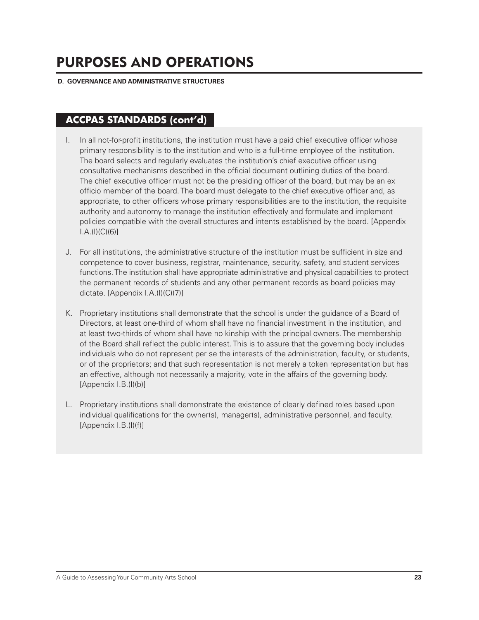#### **D. GOVERNANCE AND ADMINISTRATIVE STRUCTURES**

## **ACCPAS STANDARDS (cont'd)**

- I. In all not-for-profit institutions, the institution must have a paid chief executive officer whose primary responsibility is to the institution and who is a full-time employee of the institution. The board selects and regularly evaluates the institution's chief executive officer using consultative mechanisms described in the official document outlining duties of the board. The chief executive officer must not be the presiding officer of the board, but may be an ex officio member of the board. The board must delegate to the chief executive officer and, as appropriate, to other officers whose primary responsibilities are to the institution, the requisite authority and autonomy to manage the institution effectively and formulate and implement policies compatible with the overall structures and intents established by the board. [Appendix I.A.(I)(C)(6)]
- J. For all institutions, the administrative structure of the institution must be sufficient in size and competence to cover business, registrar, maintenance, security, safety, and student services functions. The institution shall have appropriate administrative and physical capabilities to protect the permanent records of students and any other permanent records as board policies may dictate. [Appendix I.A.(I)(C)(7)]
- K. Proprietary institutions shall demonstrate that the school is under the guidance of a Board of Directors, at least one-third of whom shall have no financial investment in the institution, and at least two-thirds of whom shall have no kinship with the principal owners. The membership of the Board shall reflect the public interest. This is to assure that the governing body includes individuals who do not represent per se the interests of the administration, faculty, or students, or of the proprietors; and that such representation is not merely a token representation but has an effective, although not necessarily a majority, vote in the affairs of the governing body. [Appendix I.B.(I)(b)]
- L. Proprietary institutions shall demonstrate the existence of clearly defined roles based upon individual qualifications for the owner(s), manager(s), administrative personnel, and faculty. [Appendix I.B.(I)(f)]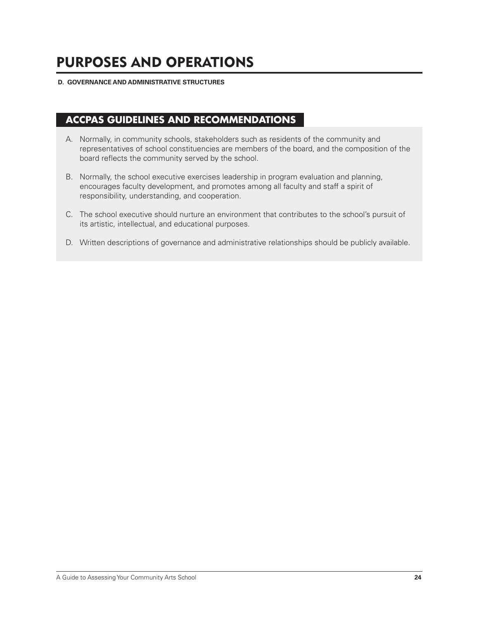#### **D. GOVERNANCE AND ADMINISTRATIVE STRUCTURES**

## **ACCPAS GUIDELINES AND RECOMMENDATIONS**

- A. Normally, in community schools, stakeholders such as residents of the community and representatives of school constituencies are members of the board, and the composition of the board reflects the community served by the school.
- B. Normally, the school executive exercises leadership in program evaluation and planning, encourages faculty development, and promotes among all faculty and staff a spirit of responsibility, understanding, and cooperation.
- C. The school executive should nurture an environment that contributes to the school's pursuit of its artistic, intellectual, and educational purposes.
- D. Written descriptions of governance and administrative relationships should be publicly available.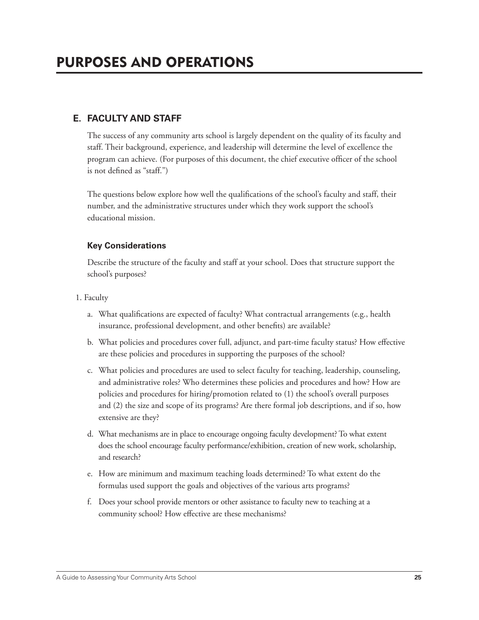The success of any community arts school is largely dependent on the quality of its faculty and staff. Their background, experience, and leadership will determine the level of excellence the program can achieve. (For purposes of this document, the chief executive officer of the school is not defined as "staff.")

The questions below explore how well the qualifications of the school's faculty and staff, their number, and the administrative structures under which they work support the school's educational mission.

### **Key Considerations**

 Describe the structure of the faculty and staff at your school. Does that structure support the school's purposes?

- 1. Faculty
	- a. What qualifications are expected of faculty? What contractual arrangements (e.g., health insurance, professional development, and other benefits) are available?
	- b. What policies and procedures cover full, adjunct, and part-time faculty status? How effective are these policies and procedures in supporting the purposes of the school?
	- c. What policies and procedures are used to select faculty for teaching, leadership, counseling, and administrative roles? Who determines these policies and procedures and how? How are policies and procedures for hiring/promotion related to (1) the school's overall purposes and (2) the size and scope of its programs? Are there formal job descriptions, and if so, how extensive are they?
	- d. What mechanisms are in place to encourage ongoing faculty development? To what extent does the school encourage faculty performance/exhibition, creation of new work, scholarship, and research?
	- e. How are minimum and maximum teaching loads determined? To what extent do the formulas used support the goals and objectives of the various arts programs?
	- f. Does your school provide mentors or other assistance to faculty new to teaching at a community school? How effective are these mechanisms?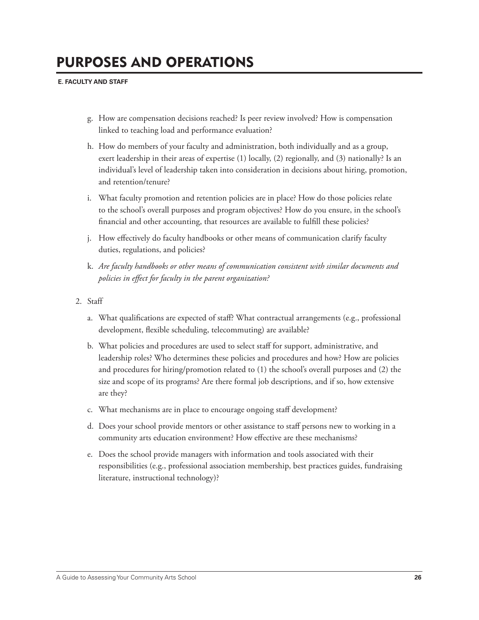- g. How are compensation decisions reached? Is peer review involved? How is compensation linked to teaching load and performance evaluation?
- h. How do members of your faculty and administration, both individually and as a group, exert leadership in their areas of expertise (1) locally, (2) regionally, and (3) nationally? Is an individual's level of leadership taken into consideration in decisions about hiring, promotion, and retention/tenure?
- i. What faculty promotion and retention policies are in place? How do those policies relate to the school's overall purposes and program objectives? How do you ensure, in the school's financial and other accounting, that resources are available to fulfill these policies?
- j. How effectively do faculty handbooks or other means of communication clarify faculty duties, regulations, and policies?
- k. *Are faculty handbooks or other means of communication consistent with similar documents and policies in effect for faculty in the parent organization?*
- 2. Staff
	- a. What qualifications are expected of staff? What contractual arrangements (e.g., professional development, flexible scheduling, telecommuting) are available?
	- b. What policies and procedures are used to select staff for support, administrative, and leadership roles? Who determines these policies and procedures and how? How are policies and procedures for hiring/promotion related to (1) the school's overall purposes and (2) the size and scope of its programs? Are there formal job descriptions, and if so, how extensive are they?
	- c. What mechanisms are in place to encourage ongoing staff development?
	- d. Does your school provide mentors or other assistance to staff persons new to working in a community arts education environment? How effective are these mechanisms?
	- e. Does the school provide managers with information and tools associated with their responsibilities (e.g., professional association membership, best practices guides, fundraising literature, instructional technology)?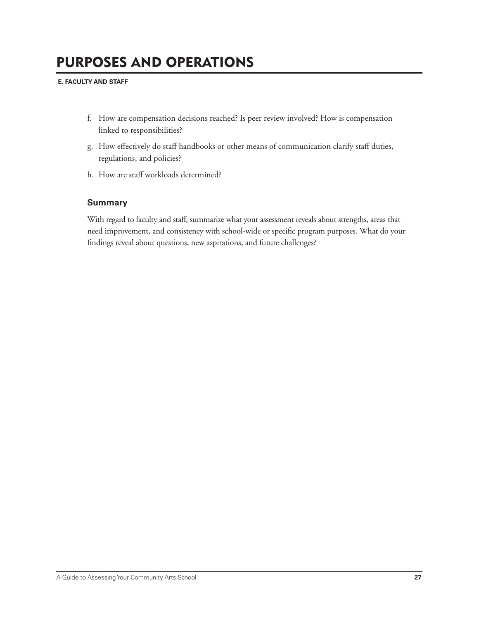- f. How are compensation decisions reached? Is peer review involved? How is compensation linked to responsibilities?
- g. How effectively do staff handbooks or other means of communication clarify staff duties, regulations, and policies?
- h. How are staff workloads determined?

### **Summary**

 With regard to faculty and staff, summarize what your assessment reveals about strengths, areas that need improvement, and consistency with school-wide or specific program purposes. What do your findings reveal about questions, new aspirations, and future challenges?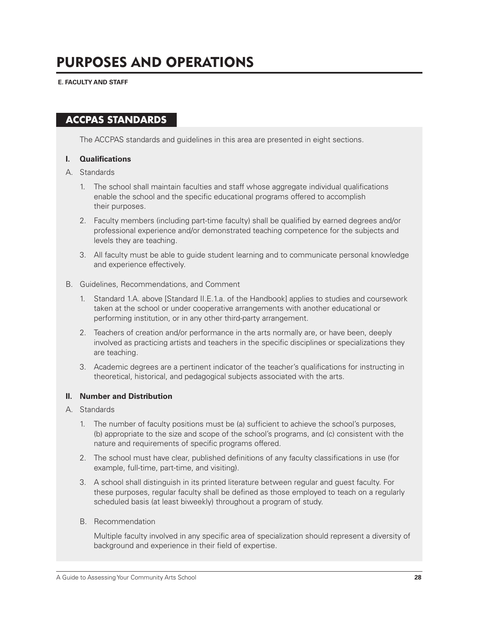**E. FACULTY AND STAFF**

## **ACCPAS STANDARDS**

The ACCPAS standards and guidelines in this area are presented in eight sections.

#### **I. Qualifications**

- A. Standards
	- 1. The school shall maintain faculties and staff whose aggregate individual qualifications enable the school and the specific educational programs offered to accomplish their purposes.
	- 2. Faculty members (including part-time faculty) shall be qualified by earned degrees and/or professional experience and/or demonstrated teaching competence for the subjects and levels they are teaching.
	- 3. All faculty must be able to guide student learning and to communicate personal knowledge and experience effectively.

#### B. Guidelines, Recommendations, and Comment

- 1. Standard 1.A. above [Standard II.E.1.a. of the Handbook] applies to studies and coursework taken at the school or under cooperative arrangements with another educational or performing institution, or in any other third-party arrangement.
- 2. Teachers of creation and/or performance in the arts normally are, or have been, deeply involved as practicing artists and teachers in the specific disciplines or specializations they are teaching.
- 3. Academic degrees are a pertinent indicator of the teacher's qualifications for instructing in theoretical, historical, and pedagogical subjects associated with the arts.

#### **II. Number and Distribution**

- A. Standards
	- 1. The number of faculty positions must be (a) sufficient to achieve the school's purposes, (b) appropriate to the size and scope of the school's programs, and (c) consistent with the nature and requirements of specific programs offered.
	- 2. The school must have clear, published definitions of any faculty classifications in use (for example, full-time, part-time, and visiting).
	- 3. A school shall distinguish in its printed literature between regular and guest faculty. For these purposes, regular faculty shall be defined as those employed to teach on a regularly scheduled basis (at least biweekly) throughout a program of study.
	- B. Recommendation

Multiple faculty involved in any specific area of specialization should represent a diversity of background and experience in their field of expertise.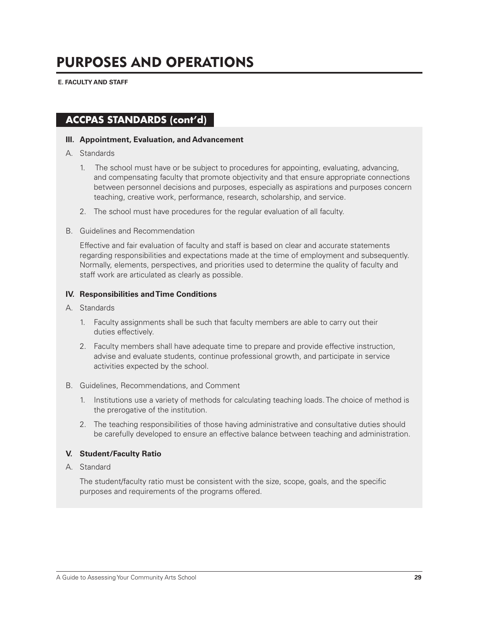**E. FACULTY AND STAFF**

## **ACCPAS STANDARDS (cont'd)**

#### **III. Appointment, Evaluation, and Advancement**

- A. Standards
	- 1. The school must have or be subject to procedures for appointing, evaluating, advancing, and compensating faculty that promote objectivity and that ensure appropriate connections between personnel decisions and purposes, especially as aspirations and purposes concern teaching, creative work, performance, research, scholarship, and service.
	- 2. The school must have procedures for the regular evaluation of all faculty.
- B. Guidelines and Recommendation

Effective and fair evaluation of faculty and staff is based on clear and accurate statements regarding responsibilities and expectations made at the time of employment and subsequently. Normally, elements, perspectives, and priorities used to determine the quality of faculty and staff work are articulated as clearly as possible.

#### **IV. Responsibilities and Time Conditions**

- A. Standards
	- 1. Faculty assignments shall be such that faculty members are able to carry out their duties effectively.
	- 2. Faculty members shall have adequate time to prepare and provide effective instruction, advise and evaluate students, continue professional growth, and participate in service activities expected by the school.

#### B. Guidelines, Recommendations, and Comment

- 1. Institutions use a variety of methods for calculating teaching loads. The choice of method is the prerogative of the institution.
- 2. The teaching responsibilities of those having administrative and consultative duties should be carefully developed to ensure an effective balance between teaching and administration.

#### **V. Student/Faculty Ratio**

A. Standard

The student/faculty ratio must be consistent with the size, scope, goals, and the specific purposes and requirements of the programs offered.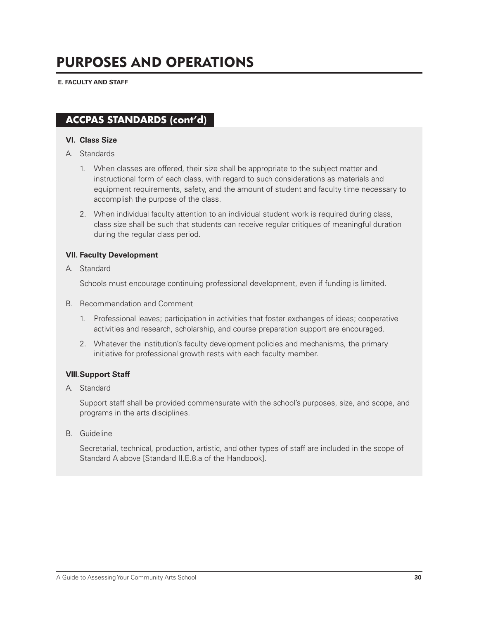## **ACCPAS STANDARDS (cont'd)**

#### **VI. Class Size**

- A. Standards
	- 1. When classes are offered, their size shall be appropriate to the subject matter and instructional form of each class, with regard to such considerations as materials and equipment requirements, safety, and the amount of student and faculty time necessary to accomplish the purpose of the class.
	- 2. When individual faculty attention to an individual student work is required during class, class size shall be such that students can receive regular critiques of meaningful duration during the regular class period.

#### **VII. Faculty Development**

A. Standard

Schools must encourage continuing professional development, even if funding is limited.

- B. Recommendation and Comment
	- 1. Professional leaves; participation in activities that foster exchanges of ideas; cooperative activities and research, scholarship, and course preparation support are encouraged.
	- 2. Whatever the institution's faculty development policies and mechanisms, the primary initiative for professional growth rests with each faculty member.

#### **VIII. Support Staff**

A. Standard

Support staff shall be provided commensurate with the school's purposes, size, and scope, and programs in the arts disciplines.

B. Guideline

Secretarial, technical, production, artistic, and other types of staff are included in the scope of Standard A above [Standard II.E.8.a of the Handbook].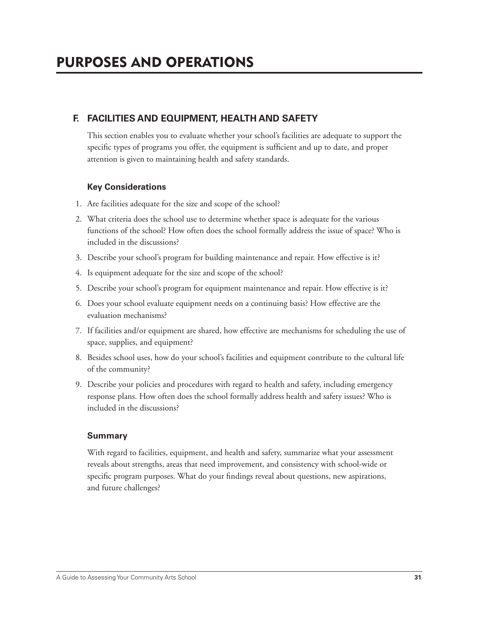## **F. FACILITIES AND EQUIPMENT, HEALTH AND SAFETY**

 This section enables you to evaluate whether your school's facilities are adequate to support the specific types of programs you offer, the equipment is sufficient and up to date, and proper attention is given to maintaining health and safety standards.

## **Key Considerations**

- 1. Are facilities adequate for the size and scope of the school?
- 2. What criteria does the school use to determine whether space is adequate for the various functions of the school? How often does the school formally address the issue of space? Who is included in the discussions?
- 3. Describe your school's program for building maintenance and repair. How effective is it?
- 4. Is equipment adequate for the size and scope of the school?
- 5. Describe your school's program for equipment maintenance and repair. How effective is it?
- 6. Does your school evaluate equipment needs on a continuing basis? How effective are the evaluation mechanisms?
- 7. If facilities and/or equipment are shared, how effective are mechanisms for scheduling the use of space, supplies, and equipment?
- 8. Besides school uses, how do your school's facilities and equipment contribute to the cultural life of the community?
- 9. Describe your policies and procedures with regard to health and safety, including emergency response plans. How often does the school formally address health and safety issues? Who is included in the discussions?

## **Summary**

 With regard to facilities, equipment, and health and safety, summarize what your assessment reveals about strengths, areas that need improvement, and consistency with school-wide or specific program purposes. What do your findings reveal about questions, new aspirations, and future challenges?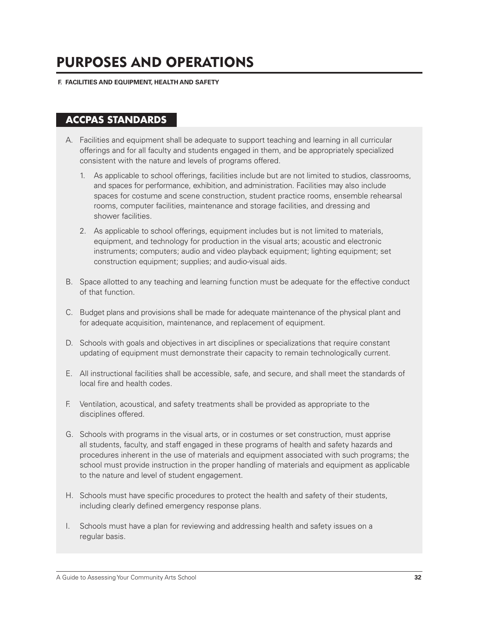#### **F. FACILITIES AND EQUIPMENT, HEALTH AND SAFETY**

## **ACCPAS STANDARDS**

- A. Facilities and equipment shall be adequate to support teaching and learning in all curricular offerings and for all faculty and students engaged in them, and be appropriately specialized consistent with the nature and levels of programs offered.
	- 1. As applicable to school offerings, facilities include but are not limited to studios, classrooms, and spaces for performance, exhibition, and administration. Facilities may also include spaces for costume and scene construction, student practice rooms, ensemble rehearsal rooms, computer facilities, maintenance and storage facilities, and dressing and shower facilities.
	- 2. As applicable to school offerings, equipment includes but is not limited to materials, equipment, and technology for production in the visual arts; acoustic and electronic instruments; computers; audio and video playback equipment; lighting equipment; set construction equipment; supplies; and audio-visual aids.
- B. Space allotted to any teaching and learning function must be adequate for the effective conduct of that function.
- C. Budget plans and provisions shall be made for adequate maintenance of the physical plant and for adequate acquisition, maintenance, and replacement of equipment.
- D. Schools with goals and objectives in art disciplines or specializations that require constant updating of equipment must demonstrate their capacity to remain technologically current.
- E. All instructional facilities shall be accessible, safe, and secure, and shall meet the standards of local fire and health codes.
- F. Ventilation, acoustical, and safety treatments shall be provided as appropriate to the disciplines offered.
- G. Schools with programs in the visual arts, or in costumes or set construction, must apprise all students, faculty, and staff engaged in these programs of health and safety hazards and procedures inherent in the use of materials and equipment associated with such programs; the school must provide instruction in the proper handling of materials and equipment as applicable to the nature and level of student engagement.
- H. Schools must have specific procedures to protect the health and safety of their students, including clearly defined emergency response plans.
- I. Schools must have a plan for reviewing and addressing health and safety issues on a regular basis.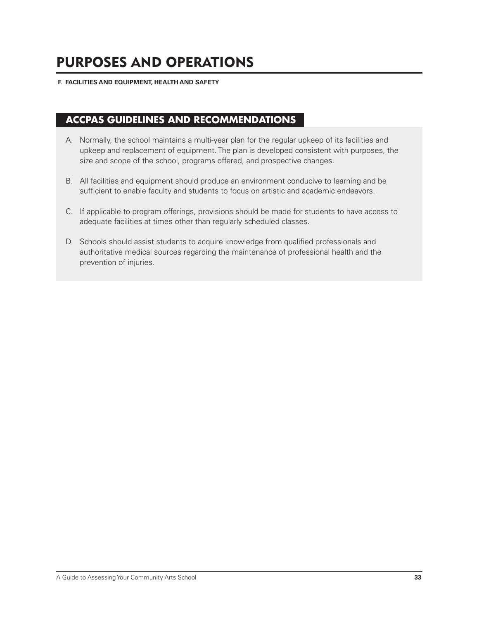#### **F. FACILITIES AND EQUIPMENT, HEALTH AND SAFETY**

## **ACCPAS GUIDELINES AND RECOMMENDATIONS**

- A. Normally, the school maintains a multi-year plan for the regular upkeep of its facilities and upkeep and replacement of equipment. The plan is developed consistent with purposes, the size and scope of the school, programs offered, and prospective changes.
- B. All facilities and equipment should produce an environment conducive to learning and be sufficient to enable faculty and students to focus on artistic and academic endeavors.
- C. If applicable to program offerings, provisions should be made for students to have access to adequate facilities at times other than regularly scheduled classes.
- D. Schools should assist students to acquire knowledge from qualified professionals and authoritative medical sources regarding the maintenance of professional health and the prevention of injuries.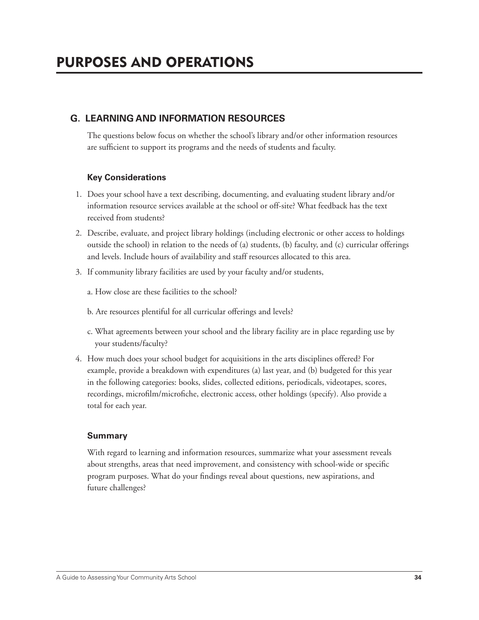## **G. LEARNING AND INFORMATION RESOURCES**

 The questions below focus on whether the school's library and/or other information resources are sufficient to support its programs and the needs of students and faculty.

### **Key Considerations**

- 1. Does your school have a text describing, documenting, and evaluating student library and/or information resource services available at the school or off-site? What feedback has the text received from students?
- 2. Describe, evaluate, and project library holdings (including electronic or other access to holdings outside the school) in relation to the needs of (a) students, (b) faculty, and (c) curricular offerings and levels. Include hours of availability and staff resources allocated to this area.
- 3. If community library facilities are used by your faculty and/or students,
	- a. How close are these facilities to the school?
	- b. Are resources plentiful for all curricular offerings and levels?
	- c. What agreements between your school and the library facility are in place regarding use by your students/faculty?
- 4. How much does your school budget for acquisitions in the arts disciplines offered? For example, provide a breakdown with expenditures (a) last year, and (b) budgeted for this year in the following categories: books, slides, collected editions, periodicals, videotapes, scores, recordings, microfilm/microfiche, electronic access, other holdings (specify). Also provide a total for each year.

### **Summary**

 With regard to learning and information resources, summarize what your assessment reveals about strengths, areas that need improvement, and consistency with school-wide or specific program purposes. What do your findings reveal about questions, new aspirations, and future challenges?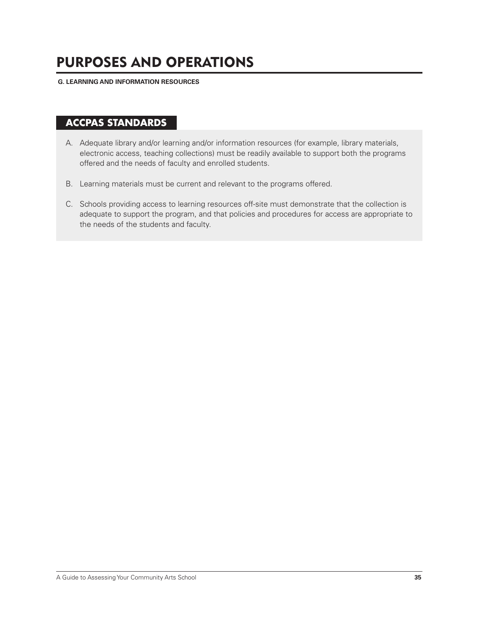**G. LEARNING AND INFORMATION RESOURCES**

## **ACCPAS STANDARDS**

- A. Adequate library and/or learning and/or information resources (for example, library materials, electronic access, teaching collections) must be readily available to support both the programs offered and the needs of faculty and enrolled students.
- B. Learning materials must be current and relevant to the programs offered.
- C. Schools providing access to learning resources off-site must demonstrate that the collection is adequate to support the program, and that policies and procedures for access are appropriate to the needs of the students and faculty.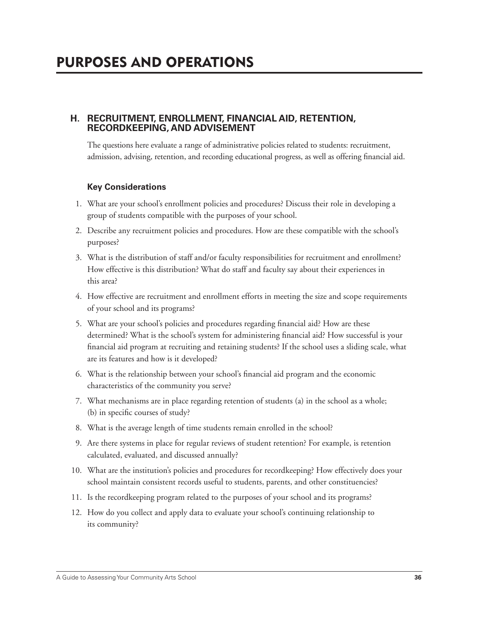### **H. RECRUITMENT, ENROLLMENT, FINANCIAL AID, RETENTION, RECORDKEEPING, AND ADVISEMENT**

 The questions here evaluate a range of administrative policies related to students: recruitment, admission, advising, retention, and recording educational progress, as well as offering financial aid.

### **Key Considerations**

- 1. What are your school's enrollment policies and procedures? Discuss their role in developing a group of students compatible with the purposes of your school.
- 2. Describe any recruitment policies and procedures. How are these compatible with the school's purposes?
- 3. What is the distribution of staff and/or faculty responsibilities for recruitment and enrollment? How effective is this distribution? What do staff and faculty say about their experiences in this area?
- 4. How effective are recruitment and enrollment efforts in meeting the size and scope requirements of your school and its programs?
- 5. What are your school's policies and procedures regarding financial aid? How are these determined? What is the school's system for administering financial aid? How successful is your financial aid program at recruiting and retaining students? If the school uses a sliding scale, what are its features and how is it developed?
- 6. What is the relationship between your school's financial aid program and the economic characteristics of the community you serve?
- 7. What mechanisms are in place regarding retention of students (a) in the school as a whole; (b) in specific courses of study?
- 8. What is the average length of time students remain enrolled in the school?
- 9. Are there systems in place for regular reviews of student retention? For example, is retention calculated, evaluated, and discussed annually?
- 10. What are the institution's policies and procedures for recordkeeping? How effectively does your school maintain consistent records useful to students, parents, and other constituencies?
- 11. Is the recordkeeping program related to the purposes of your school and its programs?
- 12. How do you collect and apply data to evaluate your school's continuing relationship to its community?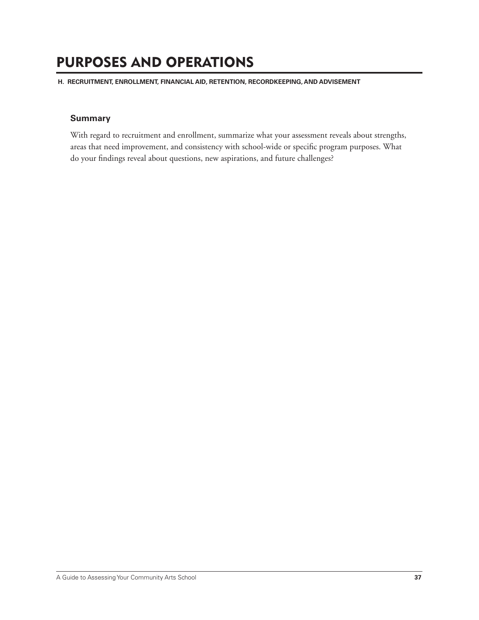**H. RECRUITMENT, ENROLLMENT, FINANCIAL AID, RETENTION, RECORDKEEPING, AND ADVISEMENT**

### **Summary**

With regard to recruitment and enrollment, summarize what your assessment reveals about strengths, areas that need improvement, and consistency with school-wide or specific program purposes. What do your findings reveal about questions, new aspirations, and future challenges?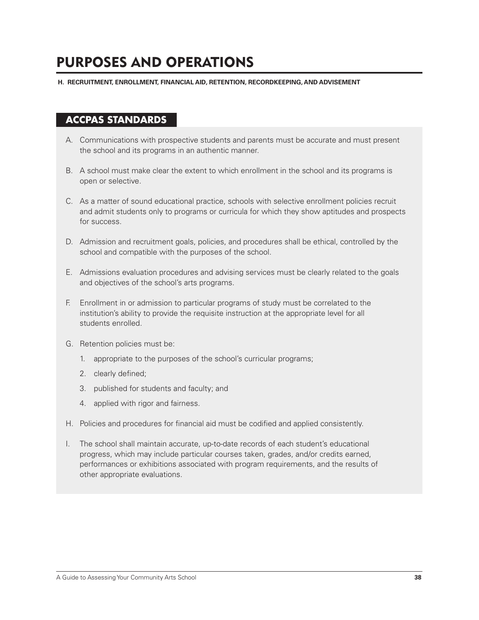**H. RECRUITMENT, ENROLLMENT, FINANCIAL AID, RETENTION, RECORDKEEPING, AND ADVISEMENT**

## **ACCPAS STANDARDS**

- A. Communications with prospective students and parents must be accurate and must present the school and its programs in an authentic manner.
- B. A school must make clear the extent to which enrollment in the school and its programs is open or selective.
- C. As a matter of sound educational practice, schools with selective enrollment policies recruit and admit students only to programs or curricula for which they show aptitudes and prospects for success.
- D. Admission and recruitment goals, policies, and procedures shall be ethical, controlled by the school and compatible with the purposes of the school.
- E. Admissions evaluation procedures and advising services must be clearly related to the goals and objectives of the school's arts programs.
- F. Enrollment in or admission to particular programs of study must be correlated to the institution's ability to provide the requisite instruction at the appropriate level for all students enrolled.
- G. Retention policies must be:
	- 1. appropriate to the purposes of the school's curricular programs;
	- 2. clearly defined;
	- 3. published for students and faculty; and
	- 4. applied with rigor and fairness.
- H. Policies and procedures for financial aid must be codified and applied consistently.
- I. The school shall maintain accurate, up-to-date records of each student's educational progress, which may include particular courses taken, grades, and/or credits earned, performances or exhibitions associated with program requirements, and the results of other appropriate evaluations.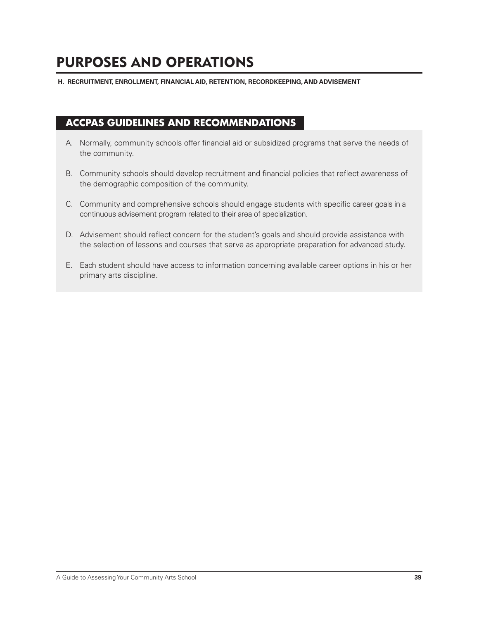**H. RECRUITMENT, ENROLLMENT, FINANCIAL AID, RETENTION, RECORDKEEPING, AND ADVISEMENT**

## **ACCPAS GUIDELINES AND RECOMMENDATIONS**

- A. Normally, community schools offer financial aid or subsidized programs that serve the needs of the community.
- B. Community schools should develop recruitment and financial policies that reflect awareness of the demographic composition of the community.
- C. Community and comprehensive schools should engage students with specific career goals in a continuous advisement program related to their area of specialization.
- D. Advisement should reflect concern for the student's goals and should provide assistance with the selection of lessons and courses that serve as appropriate preparation for advanced study.
- E. Each student should have access to information concerning available career options in his or her primary arts discipline.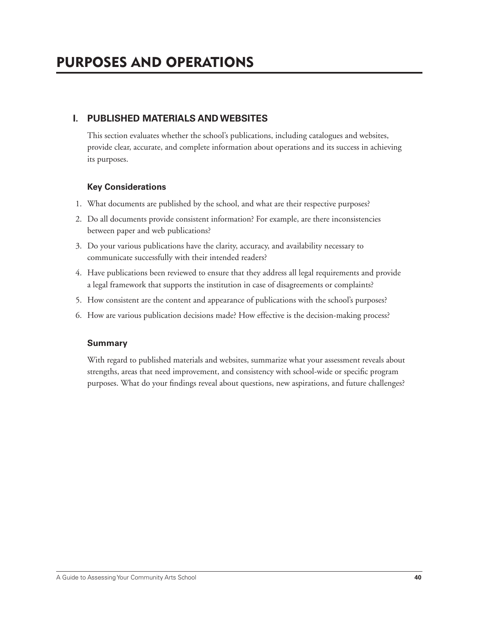## **I. PUBLISHED MATERIALS AND WEBSITES**

 This section evaluates whether the school's publications, including catalogues and websites, provide clear, accurate, and complete information about operations and its success in achieving its purposes.

### **Key Considerations**

- 1. What documents are published by the school, and what are their respective purposes?
- 2. Do all documents provide consistent information? For example, are there inconsistencies between paper and web publications?
- 3. Do your various publications have the clarity, accuracy, and availability necessary to communicate successfully with their intended readers?
- 4. Have publications been reviewed to ensure that they address all legal requirements and provide a legal framework that supports the institution in case of disagreements or complaints?
- 5. How consistent are the content and appearance of publications with the school's purposes?
- 6. How are various publication decisions made? How effective is the decision-making process?

### **Summary**

 With regard to published materials and websites, summarize what your assessment reveals about strengths, areas that need improvement, and consistency with school-wide or specific program purposes. What do your findings reveal about questions, new aspirations, and future challenges?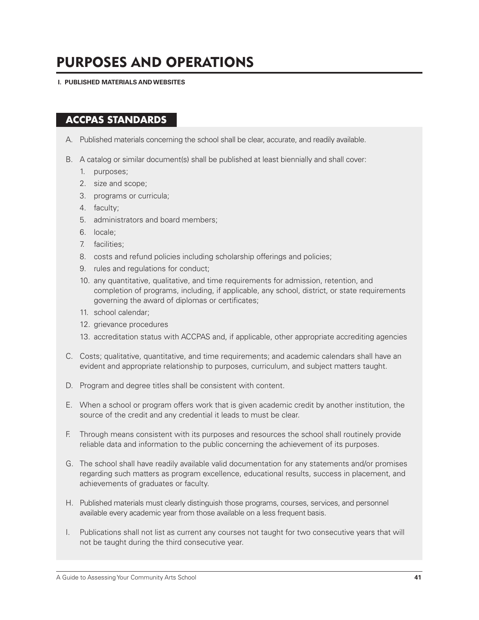**I. PUBLISHED MATERIALS AND WEBSITES**

## **ACCPAS STANDARDS**

- A. Published materials concerning the school shall be clear, accurate, and readily available.
- B. A catalog or similar document(s) shall be published at least biennially and shall cover:
	- 1. purposes;
	- 2. size and scope;
	- 3. programs or curricula;
	- 4. faculty;
	- 5. administrators and board members;
	- 6. locale;
	- 7. facilities;
	- 8. costs and refund policies including scholarship offerings and policies;
	- 9. rules and regulations for conduct;
	- 10. any quantitative, qualitative, and time requirements for admission, retention, and completion of programs, including, if applicable, any school, district, or state requirements governing the award of diplomas or certificates;
	- 11. school calendar;
	- 12. grievance procedures
	- 13. accreditation status with ACCPAS and, if applicable, other appropriate accrediting agencies
- C. Costs; qualitative, quantitative, and time requirements; and academic calendars shall have an evident and appropriate relationship to purposes, curriculum, and subject matters taught.
- D. Program and degree titles shall be consistent with content.
- E. When a school or program offers work that is given academic credit by another institution, the source of the credit and any credential it leads to must be clear.
- F. Through means consistent with its purposes and resources the school shall routinely provide reliable data and information to the public concerning the achievement of its purposes.
- G. The school shall have readily available valid documentation for any statements and/or promises regarding such matters as program excellence, educational results, success in placement, and achievements of graduates or faculty.
- H. Published materials must clearly distinguish those programs, courses, services, and personnel available every academic year from those available on a less frequent basis.
- I. Publications shall not list as current any courses not taught for two consecutive years that will not be taught during the third consecutive year.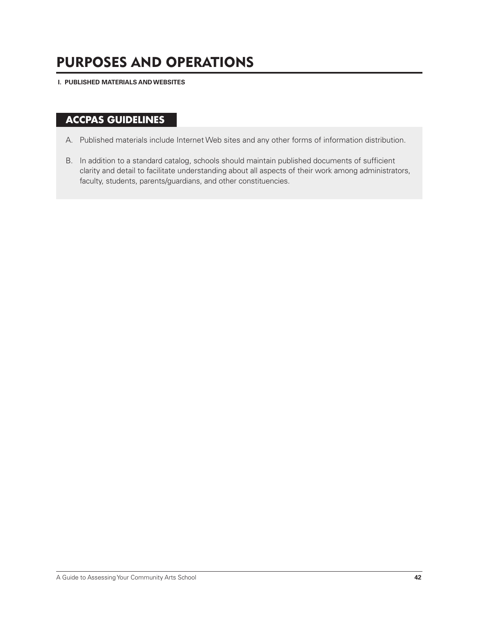**I. PUBLISHED MATERIALS AND WEBSITES**

# **ACCPAS GUIDELINES**

- A. Published materials include Internet Web sites and any other forms of information distribution.
- B. In addition to a standard catalog, schools should maintain published documents of sufficient clarity and detail to facilitate understanding about all aspects of their work among administrators, faculty, students, parents/guardians, and other constituencies.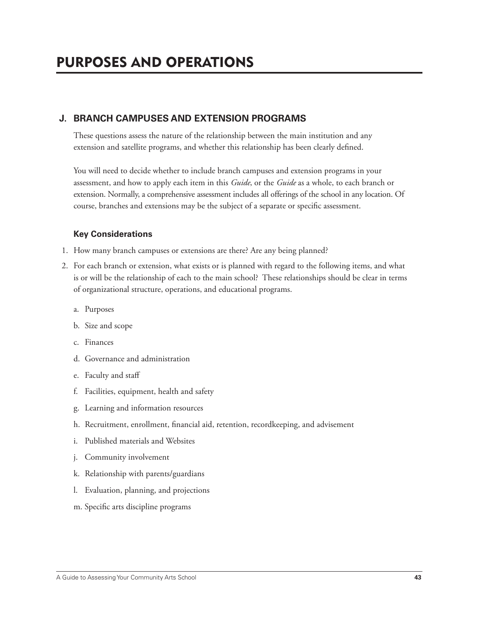## **J. BRANCH CAMPUSES AND EXTENSION PROGRAMS**

 These questions assess the nature of the relationship between the main institution and any extension and satellite programs, and whether this relationship has been clearly defined.

 You will need to decide whether to include branch campuses and extension programs in your assessment, and how to apply each item in this *Guide*, or the *Guide* as a whole, to each branch or extension. Normally, a comprehensive assessment includes all offerings of the school in any location. Of course, branches and extensions may be the subject of a separate or specific assessment.

### **Key Considerations**

- 1. How many branch campuses or extensions are there? Are any being planned?
- 2. For each branch or extension, what exists or is planned with regard to the following items, and what is or will be the relationship of each to the main school? These relationships should be clear in terms of organizational structure, operations, and educational programs.
	- a. Purposes
	- b. Size and scope
	- c. Finances
	- d. Governance and administration
	- e. Faculty and staff
	- f. Facilities, equipment, health and safety
	- g. Learning and information resources
	- h. Recruitment, enrollment, financial aid, retention, recordkeeping, and advisement
	- i. Published materials and Websites
	- j. Community involvement
	- k. Relationship with parents/guardians
	- l. Evaluation, planning, and projections
	- m. Specific arts discipline programs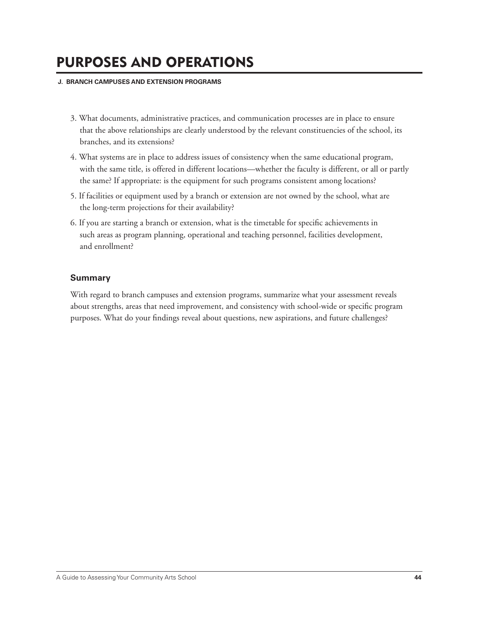#### **J. BRANCH CAMPUSES AND EXTENSION PROGRAMS**

- 3. What documents, administrative practices, and communication processes are in place to ensure that the above relationships are clearly understood by the relevant constituencies of the school, its branches, and its extensions?
- 4. What systems are in place to address issues of consistency when the same educational program, with the same title, is offered in different locations—whether the faculty is different, or all or partly the same? If appropriate: is the equipment for such programs consistent among locations?
- 5. If facilities or equipment used by a branch or extension are not owned by the school, what are the long-term projections for their availability?
- 6. If you are starting a branch or extension, what is the timetable for specific achievements in such areas as program planning, operational and teaching personnel, facilities development, and enrollment?

### **Summary**

 With regard to branch campuses and extension programs, summarize what your assessment reveals about strengths, areas that need improvement, and consistency with school-wide or specific program purposes. What do your findings reveal about questions, new aspirations, and future challenges?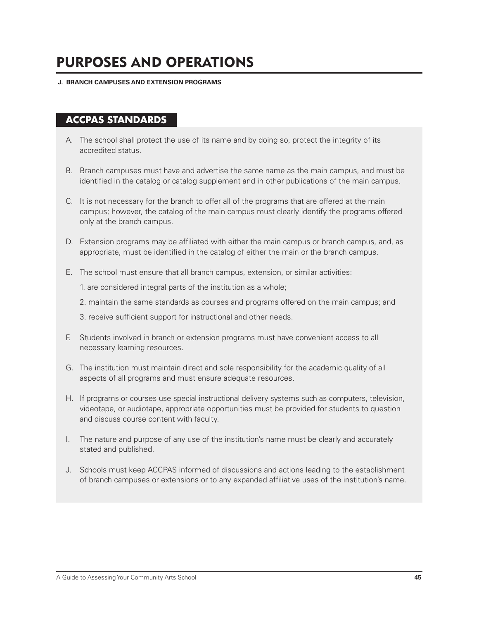### **J. BRANCH CAMPUSES AND EXTENSION PROGRAMS**

## **ACCPAS STANDARDS**

- A. The school shall protect the use of its name and by doing so, protect the integrity of its accredited status.
- B. Branch campuses must have and advertise the same name as the main campus, and must be identified in the catalog or catalog supplement and in other publications of the main campus.
- C. It is not necessary for the branch to offer all of the programs that are offered at the main campus; however, the catalog of the main campus must clearly identify the programs offered only at the branch campus.
- D. Extension programs may be affiliated with either the main campus or branch campus, and, as appropriate, must be identified in the catalog of either the main or the branch campus.
- E. The school must ensure that all branch campus, extension, or similar activities:

1. are considered integral parts of the institution as a whole;

2. maintain the same standards as courses and programs offered on the main campus; and

3. receive sufficient support for instructional and other needs.

- F. Students involved in branch or extension programs must have convenient access to all necessary learning resources.
- G. The institution must maintain direct and sole responsibility for the academic quality of all aspects of all programs and must ensure adequate resources.
- H. If programs or courses use special instructional delivery systems such as computers, television, videotape, or audiotape, appropriate opportunities must be provided for students to question and discuss course content with faculty.
- I. The nature and purpose of any use of the institution's name must be clearly and accurately stated and published.
- J. Schools must keep ACCPAS informed of discussions and actions leading to the establishment of branch campuses or extensions or to any expanded affi liative uses of the institution's name.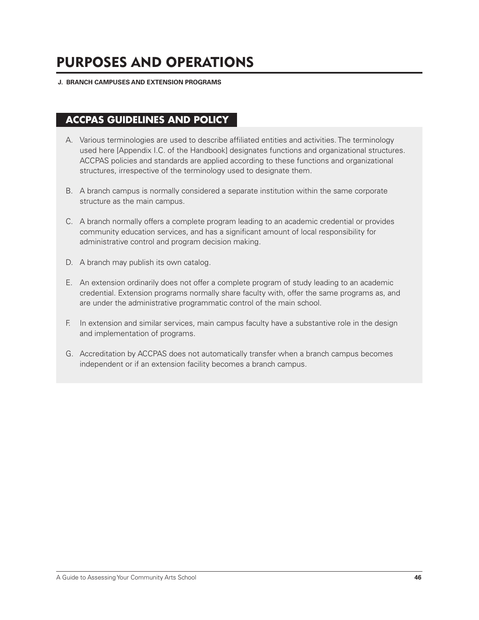#### **J. BRANCH CAMPUSES AND EXTENSION PROGRAMS**

# **ACCPAS GUIDELINES AND POLICY**

- A. Various terminologies are used to describe affiliated entities and activities. The terminology used here [Appendix I.C. of the Handbook] designates functions and organizational structures. ACCPAS policies and standards are applied according to these functions and organizational structures, irrespective of the terminology used to designate them.
- B. A branch campus is normally considered a separate institution within the same corporate structure as the main campus.
- C. A branch normally offers a complete program leading to an academic credential or provides community education services, and has a significant amount of local responsibility for administrative control and program decision making.
- D. A branch may publish its own catalog.
- E. An extension ordinarily does not offer a complete program of study leading to an academic credential. Extension programs normally share faculty with, offer the same programs as, and are under the administrative programmatic control of the main school.
- F. In extension and similar services, main campus faculty have a substantive role in the design and implementation of programs.
- G. Accreditation by ACCPAS does not automatically transfer when a branch campus becomes independent or if an extension facility becomes a branch campus.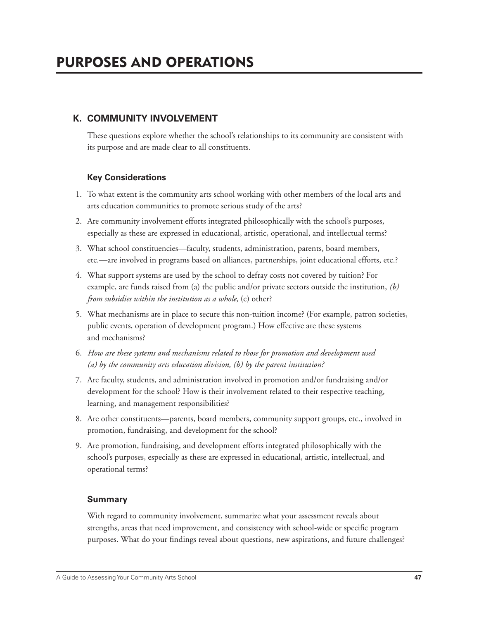## **K. COMMUNITY INVOLVEMENT**

 These questions explore whether the school's relationships to its community are consistent with its purpose and are made clear to all constituents.

## **Key Considerations**

- 1. To what extent is the community arts school working with other members of the local arts and arts education communities to promote serious study of the arts?
- 2. Are community involvement efforts integrated philosophically with the school's purposes, especially as these are expressed in educational, artistic, operational, and intellectual terms?
- 3. What school constituencies—faculty, students, administration, parents, board members, etc.—are involved in programs based on alliances, partnerships, joint educational efforts, etc.?
- 4. What support systems are used by the school to defray costs not covered by tuition? For example, are funds raised from (a) the public and/or private sectors outside the institution, *(b) from subsidies within the institution as a whole*, (c) other?
- 5. What mechanisms are in place to secure this non-tuition income? (For example, patron societies, public events, operation of development program.) How effective are these systems and mechanisms?
- 6. *How are these systems and mechanisms related to those for promotion and development used (a) by the community arts education division, (b) by the parent institution?*
- 7. Are faculty, students, and administration involved in promotion and/or fundraising and/or development for the school? How is their involvement related to their respective teaching, learning, and management responsibilities?
- 8. Are other constituents—parents, board members, community support groups, etc., involved in promotion, fundraising, and development for the school?
- 9. Are promotion, fundraising, and development efforts integrated philosophically with the school's purposes, especially as these are expressed in educational, artistic, intellectual, and operational terms?

### **Summary**

 With regard to community involvement, summarize what your assessment reveals about strengths, areas that need improvement, and consistency with school-wide or specific program purposes. What do your findings reveal about questions, new aspirations, and future challenges?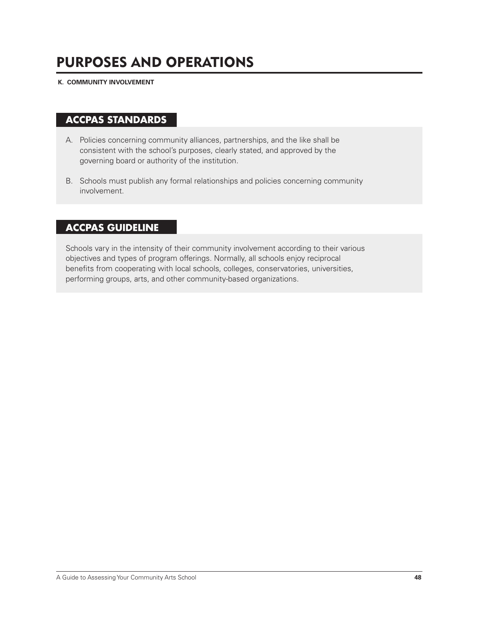**K. COMMUNITY INVOLVEMENT**

## **ACCPAS STANDARDS**

- A. Policies concerning community alliances, partnerships, and the like shall be consistent with the school's purposes, clearly stated, and approved by the governing board or authority of the institution.
- B. Schools must publish any formal relationships and policies concerning community involvement.

## **ACCPAS GUIDELINE**

Schools vary in the intensity of their community involvement according to their various objectives and types of program offerings. Normally, all schools enjoy reciprocal benefits from cooperating with local schools, colleges, conservatories, universities, performing groups, arts, and other community-based organizations.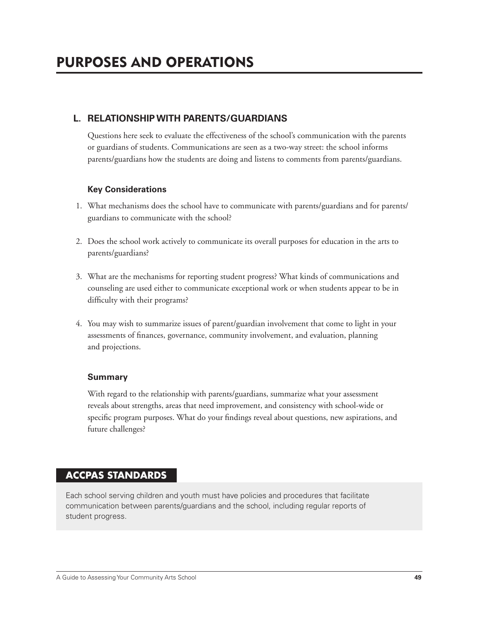## **L. RELATIONSHIP WITH PARENTS/GUARDIANS**

 Questions here seek to evaluate the effectiveness of the school's communication with the parents or guardians of students. Communications are seen as a two-way street: the school informs parents/guardians how the students are doing and listens to comments from parents/guardians.

### **Key Considerations**

- 1. What mechanisms does the school have to communicate with parents/guardians and for parents/ guardians to communicate with the school?
- 2. Does the school work actively to communicate its overall purposes for education in the arts to parents/guardians?
- 3. What are the mechanisms for reporting student progress? What kinds of communications and counseling are used either to communicate exceptional work or when students appear to be in difficulty with their programs?
- 4. You may wish to summarize issues of parent/guardian involvement that come to light in your assessments of finances, governance, community involvement, and evaluation, planning and projections.

### **Summary**

 With regard to the relationship with parents/guardians, summarize what your assessment reveals about strengths, areas that need improvement, and consistency with school-wide or specific program purposes. What do your findings reveal about questions, new aspirations, and future challenges?

## **ACCPAS STANDARDS**

Each school serving children and youth must have policies and procedures that facilitate communication between parents/guardians and the school, including regular reports of student progress.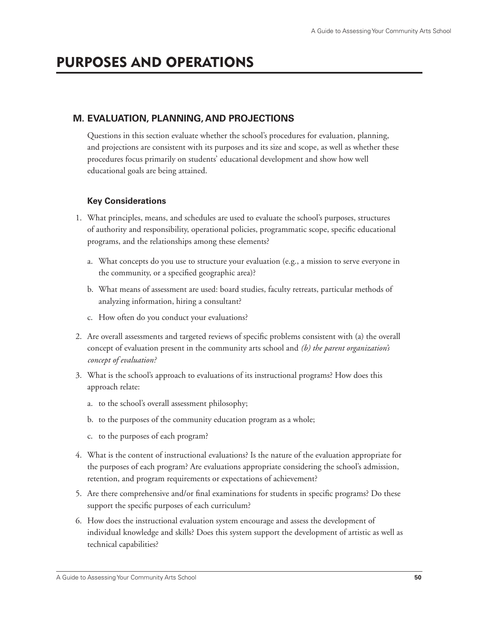## **M. EVALUATION, PLANNING, AND PROJECTIONS**

 Questions in this section evaluate whether the school's procedures for evaluation, planning, and projections are consistent with its purposes and its size and scope, as well as whether these procedures focus primarily on students' educational development and show how well educational goals are being attained.

## **Key Considerations**

- 1. What principles, means, and schedules are used to evaluate the school's purposes, structures of authority and responsibility, operational policies, programmatic scope, specifi c educational programs, and the relationships among these elements?
	- a. What concepts do you use to structure your evaluation (e.g., a mission to serve everyone in the community, or a specified geographic area)?
	- b. What means of assessment are used: board studies, faculty retreats, particular methods of analyzing information, hiring a consultant?
	- c. How often do you conduct your evaluations?
- 2. Are overall assessments and targeted reviews of specific problems consistent with (a) the overall concept of evaluation present in the community arts school and *(b) the parent organization's concept of evaluation?*
- 3. What is the school's approach to evaluations of its instructional programs? How does this approach relate:
	- a. to the school's overall assessment philosophy;
	- b. to the purposes of the community education program as a whole;
	- c. to the purposes of each program?
- 4. What is the content of instructional evaluations? Is the nature of the evaluation appropriate for the purposes of each program? Are evaluations appropriate considering the school's admission, retention, and program requirements or expectations of achievement?
- 5. Are there comprehensive and/or final examinations for students in specific programs? Do these support the specific purposes of each curriculum?
- 6. How does the instructional evaluation system encourage and assess the development of individual knowledge and skills? Does this system support the development of artistic as well as technical capabilities?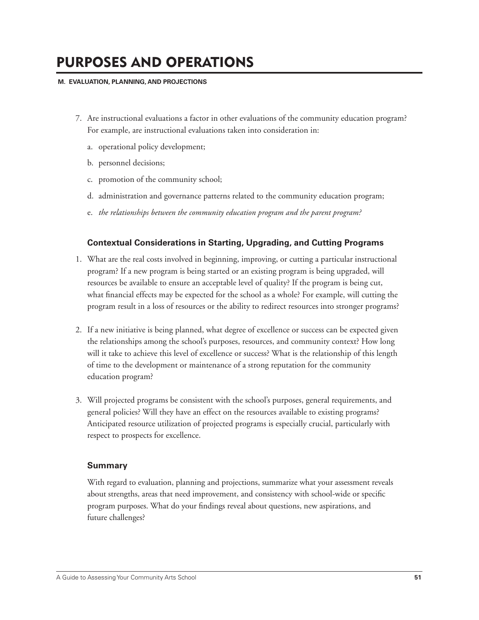#### **M. EVALUATION, PLANNING, AND PROJECTIONS**

- 7. Are instructional evaluations a factor in other evaluations of the community education program? For example, are instructional evaluations taken into consideration in:
	- a. operational policy development;
	- b. personnel decisions;
	- c. promotion of the community school;
	- d. administration and governance patterns related to the community education program;
	- e. *the relationships between the community education program and the parent program?*

### **Contextual Considerations in Starting, Upgrading, and Cutting Programs**

- 1. What are the real costs involved in beginning, improving, or cutting a particular instructional program? If a new program is being started or an existing program is being upgraded, will resources be available to ensure an acceptable level of quality? If the program is being cut, what financial effects may be expected for the school as a whole? For example, will cutting the program result in a loss of resources or the ability to redirect resources into stronger programs?
- 2. If a new initiative is being planned, what degree of excellence or success can be expected given the relationships among the school's purposes, resources, and community context? How long will it take to achieve this level of excellence or success? What is the relationship of this length of time to the development or maintenance of a strong reputation for the community education program?
- 3. Will projected programs be consistent with the school's purposes, general requirements, and general policies? Will they have an effect on the resources available to existing programs? Anticipated resource utilization of projected programs is especially crucial, particularly with respect to prospects for excellence.

### **Summary**

 With regard to evaluation, planning and projections, summarize what your assessment reveals about strengths, areas that need improvement, and consistency with school-wide or specific program purposes. What do your findings reveal about questions, new aspirations, and future challenges?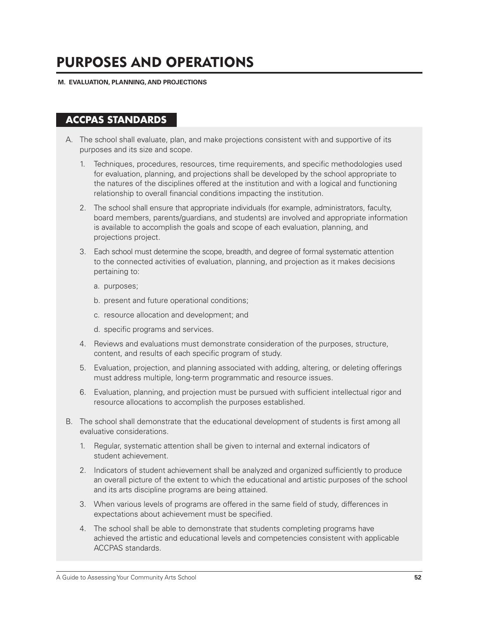#### **M. EVALUATION, PLANNING, AND PROJECTIONS**

## **ACCPAS STANDARDS**

- A. The school shall evaluate, plan, and make projections consistent with and supportive of its purposes and its size and scope.
	- 1. Techniques, procedures, resources, time requirements, and specific methodologies used for evaluation, planning, and projections shall be developed by the school appropriate to the natures of the disciplines offered at the institution and with a logical and functioning relationship to overall financial conditions impacting the institution.
	- 2. The school shall ensure that appropriate individuals (for example, administrators, faculty, board members, parents/guardians, and students) are involved and appropriate information is available to accomplish the goals and scope of each evaluation, planning, and projections project.
	- 3. Each school must determine the scope, breadth, and degree of formal systematic attention to the connected activities of evaluation, planning, and projection as it makes decisions pertaining to:
		- a. purposes;
		- b. present and future operational conditions;
		- c. resource allocation and development; and
		- d. specific programs and services.
	- 4. Reviews and evaluations must demonstrate consideration of the purposes, structure, content, and results of each specific program of study.
	- 5. Evaluation, projection, and planning associated with adding, altering, or deleting offerings must address multiple, long-term programmatic and resource issues.
	- 6. Evaluation, planning, and projection must be pursued with sufficient intellectual rigor and resource allocations to accomplish the purposes established.
- B. The school shall demonstrate that the educational development of students is first among all evaluative considerations.
	- 1. Regular, systematic attention shall be given to internal and external indicators of student achievement.
	- 2. Indicators of student achievement shall be analyzed and organized sufficiently to produce an overall picture of the extent to which the educational and artistic purposes of the school and its arts discipline programs are being attained.
	- 3. When various levels of programs are offered in the same field of study, differences in expectations about achievement must be specified.
	- 4. The school shall be able to demonstrate that students completing programs have achieved the artistic and educational levels and competencies consistent with applicable ACCPAS standards.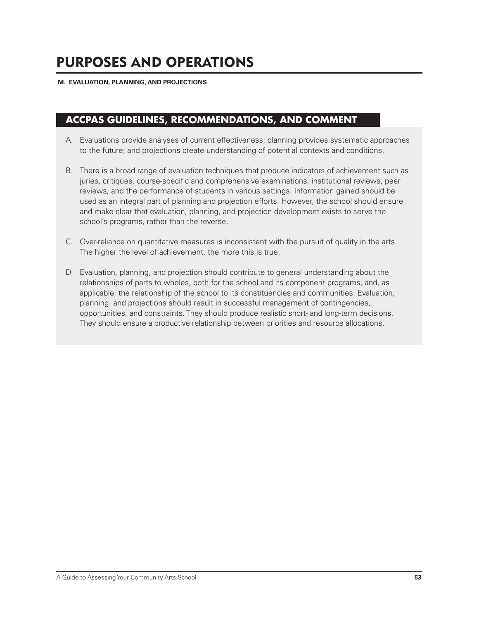#### **M. EVALUATION, PLANNING, AND PROJECTIONS**

## **ACCPAS GUIDELINES, RECOMMENDATIONS, AND COMMENT**

- A. Evaluations provide analyses of current effectiveness; planning provides systematic approaches to the future; and projections create understanding of potential contexts and conditions.
- B. There is a broad range of evaluation techniques that produce indicators of achievement such as juries, critiques, course-specific and comprehensive examinations, institutional reviews, peer reviews, and the performance of students in various settings. Information gained should be used as an integral part of planning and projection efforts. However, the school should ensure and make clear that evaluation, planning, and projection development exists to serve the school's programs, rather than the reverse.
- C. Over-reliance on quantitative measures is inconsistent with the pursuit of quality in the arts. The higher the level of achievement, the more this is true.
- D. Evaluation, planning, and projection should contribute to general understanding about the relationships of parts to wholes, both for the school and its component programs, and, as applicable, the relationship of the school to its constituencies and communities. Evaluation, planning, and projections should result in successful management of contingencies, opportunities, and constraints. They should produce realistic short- and long-term decisions. They should ensure a productive relationship between priorities and resource allocations.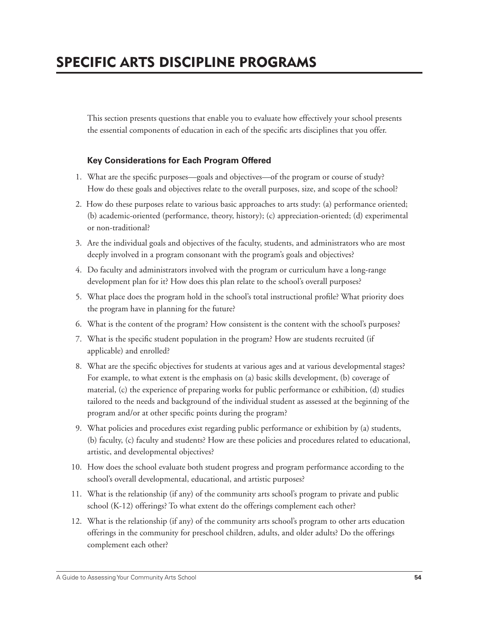This section presents questions that enable you to evaluate how effectively your school presents the essential components of education in each of the specific arts disciplines that you offer.

## **Key Considerations for Each Program Offered**

- 1. What are the specific purposes—goals and objectives—of the program or course of study? How do these goals and objectives relate to the overall purposes, size, and scope of the school?
- 2. How do these purposes relate to various basic approaches to arts study: (a) performance oriented; (b) academic-oriented (performance, theory, history); (c) appreciation-oriented; (d) experimental or non-traditional?
- 3. Are the individual goals and objectives of the faculty, students, and administrators who are most deeply involved in a program consonant with the program's goals and objectives?
- 4. Do faculty and administrators involved with the program or curriculum have a long-range development plan for it? How does this plan relate to the school's overall purposes?
- 5. What place does the program hold in the school's total instructional profile? What priority does the program have in planning for the future?
- 6. What is the content of the program? How consistent is the content with the school's purposes?
- 7. What is the specific student population in the program? How are students recruited (if applicable) and enrolled?
- 8. What are the specific objectives for students at various ages and at various developmental stages? For example, to what extent is the emphasis on (a) basic skills development, (b) coverage of material, (c) the experience of preparing works for public performance or exhibition, (d) studies tailored to the needs and background of the individual student as assessed at the beginning of the program and/or at other specific points during the program?
- 9. What policies and procedures exist regarding public performance or exhibition by (a) students, (b) faculty, (c) faculty and students? How are these policies and procedures related to educational, artistic, and developmental objectives?
- 10. How does the school evaluate both student progress and program performance according to the school's overall developmental, educational, and artistic purposes?
- 11. What is the relationship (if any) of the community arts school's program to private and public school (K-12) offerings? To what extent do the offerings complement each other?
- 12. What is the relationship (if any) of the community arts school's program to other arts education offerings in the community for preschool children, adults, and older adults? Do the offerings complement each other?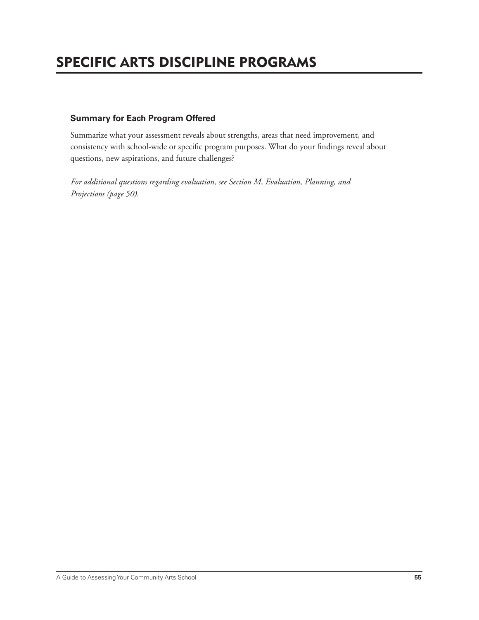# SPECIFIC ARTS DISCIPLINE PROGRAMS

### **Summary for Each Program Offered**

Summarize what your assessment reveals about strengths, areas that need improvement, and consistency with school-wide or specific program purposes. What do your findings reveal about questions, new aspirations, and future challenges?

*For additional questions regarding evaluation, see Section M, Evaluation, Planning, and Projections (page 50).*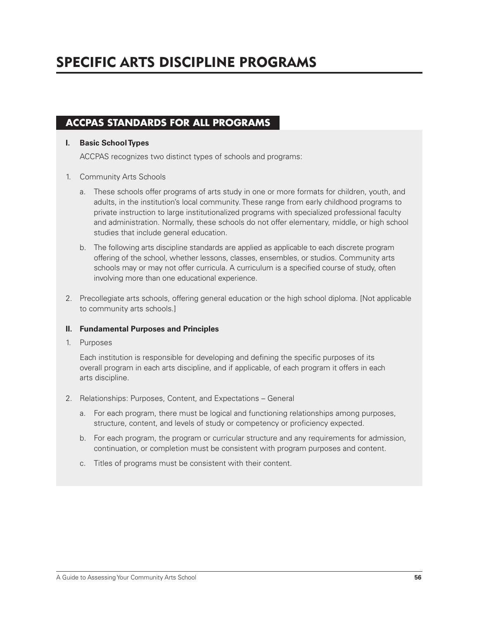# SPECIFIC ARTS DISCIPLINE PROGRAMS

## **ACCPAS STANDARDS FOR ALL PROGRAMS**

#### **I. Basic School Types**

ACCPAS recognizes two distinct types of schools and programs:

### 1. Community Arts Schools

- a. These schools offer programs of arts study in one or more formats for children, youth, and adults, in the institution's local community. These range from early childhood programs to private instruction to large institutionalized programs with specialized professional faculty and administration. Normally, these schools do not offer elementary, middle, or high school studies that include general education.
- b. The following arts discipline standards are applied as applicable to each discrete program offering of the school, whether lessons, classes, ensembles, or studios. Community arts schools may or may not offer curricula. A curriculum is a specified course of study, often involving more than one educational experience.
- 2. Precollegiate arts schools, offering general education or the high school diploma. [Not applicable to community arts schools.]

### **II. Fundamental Purposes and Principles**

1. Purposes

Each institution is responsible for developing and defining the specific purposes of its overall program in each arts discipline, and if applicable, of each program it offers in each arts discipline.

- 2. Relationships: Purposes, Content, and Expectations General
	- a. For each program, there must be logical and functioning relationships among purposes, structure, content, and levels of study or competency or proficiency expected.
	- b. For each program, the program or curricular structure and any requirements for admission, continuation, or completion must be consistent with program purposes and content.
	- c. Titles of programs must be consistent with their content.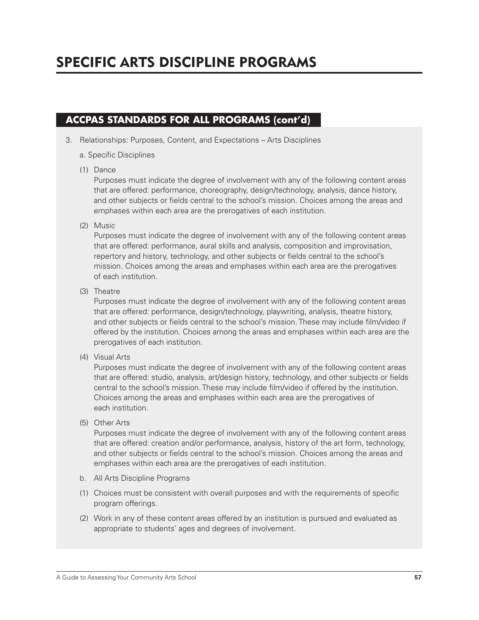3. Relationships: Purposes, Content, and Expectations – Arts Disciplines

### a. Specific Disciplines

(1) Dance

 Purposes must indicate the degree of involvement with any of the following content areas that are offered: performance, choreography, design/technology, analysis, dance history, and other subjects or fields central to the school's mission. Choices among the areas and emphases within each area are the prerogatives of each institution.

(2) Music

Purposes must indicate the degree of involvement with any of the following content areas that are offered: performance, aural skills and analysis, composition and improvisation, repertory and history, technology, and other subjects or fields central to the school's mission. Choices among the areas and emphases within each area are the prerogatives of each institution.

(3) Theatre

Purposes must indicate the degree of involvement with any of the following content areas that are offered: performance, design/technology, playwriting, analysis, theatre history, and other subjects or fields central to the school's mission. These may include film/video if offered by the institution. Choices among the areas and emphases within each area are the prerogatives of each institution.

(4) Visual Arts

Purposes must indicate the degree of involvement with any of the following content areas that are offered: studio, analysis, art/design history, technology, and other subjects or fields central to the school's mission. These may include film/video if offered by the institution. Choices among the areas and emphases within each area are the prerogatives of each institution.

(5) Other Arts

Purposes must indicate the degree of involvement with any of the following content areas that are offered: creation and/or performance, analysis, history of the art form, technology, and other subjects or fields central to the school's mission. Choices among the areas and emphases within each area are the prerogatives of each institution.

- b. All Arts Discipline Programs
- (1) Choices must be consistent with overall purposes and with the requirements of specific program offerings.
- (2) Work in any of these content areas offered by an institution is pursued and evaluated as appropriate to students' ages and degrees of involvement.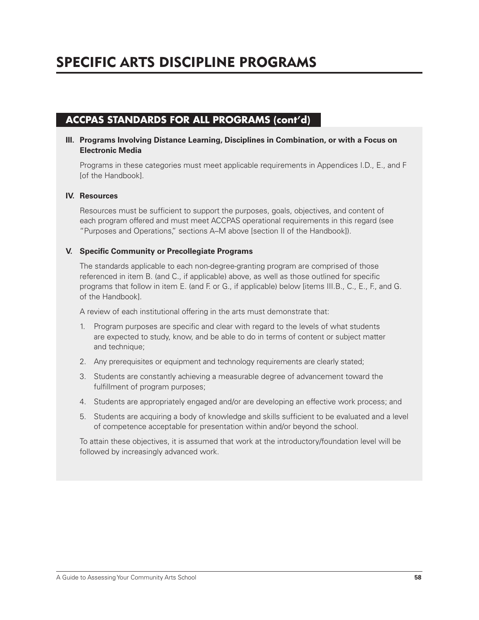### **III. Programs Involving Distance Learning, Disciplines in Combination, or with a Focus on Electronic Media**

Programs in these categories must meet applicable requirements in Appendices I.D., E., and F [of the Handbook].

### **IV. Resources**

Resources must be sufficient to support the purposes, goals, objectives, and content of each program offered and must meet ACCPAS operational requirements in this regard (see "Purposes and Operations," sections A–M above [section II of the Handbook]).

#### **V.** Specific Community or Precollegiate Programs

The standards applicable to each non-degree-granting program are comprised of those referenced in item B. (and C., if applicable) above, as well as those outlined for specific programs that follow in item E. (and F. or G., if applicable) below [items III.B., C., E., F., and G. of the Handbook].

A review of each institutional offering in the arts must demonstrate that:

- 1. Program purposes are specific and clear with regard to the levels of what students are expected to study, know, and be able to do in terms of content or subject matter and technique;
- 2. Any prerequisites or equipment and technology requirements are clearly stated;
- 3. Students are constantly achieving a measurable degree of advancement toward the fulfillment of program purposes;
- 4. Students are appropriately engaged and/or are developing an effective work process; and
- 5. Students are acquiring a body of knowledge and skills sufficient to be evaluated and a level of competence acceptable for presentation within and/or beyond the school.

To attain these objectives, it is assumed that work at the introductory/foundation level will be followed by increasingly advanced work.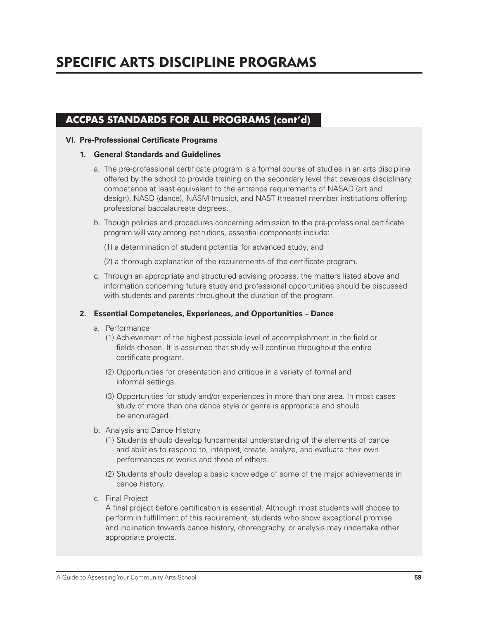### **VI. Pre-Professional Certificate Programs**

#### **1. General Standards and Guidelines**

- a. The pre-professional certificate program is a formal course of studies in an arts discipline offered by the school to provide training on the secondary level that develops disciplinary competence at least equivalent to the entrance requirements of NASAD (art and design), NASD (dance), NASM (music), and NAST (theatre) member institutions offering professional baccalaureate degrees.
- b. Though policies and procedures concerning admission to the pre-professional certificate program will vary among institutions, essential components include:
	- (1) a determination of student potential for advanced study; and
	- (2) a thorough explanation of the requirements of the certificate program.
- c. Through an appropriate and structured advising process, the matters listed above and information concerning future study and professional opportunities should be discussed with students and parents throughout the duration of the program.

### **2. Essential Competencies, Experiences, and Opportunities – Dance**

- a. Performance
	- (1) Achievement of the highest possible level of accomplishment in the field or fields chosen. It is assumed that study will continue throughout the entire certificate program.
	- (2) Opportunities for presentation and critique in a variety of formal and informal settings.
	- (3) Opportunities for study and/or experiences in more than one area. In most cases study of more than one dance style or genre is appropriate and should be encouraged.
- b. Analysis and Dance History
	- (1) Students should develop fundamental understanding of the elements of dance and abilities to respond to, interpret, create, analyze, and evaluate their own performances or works and those of others.
	- (2) Students should develop a basic knowledge of some of the major achievements in dance history.
- c. Final Project

A final project before certification is essential. Although most students will choose to perform in fulfillment of this requirement, students who show exceptional promise and inclination towards dance history, choreography, or analysis may undertake other appropriate projects.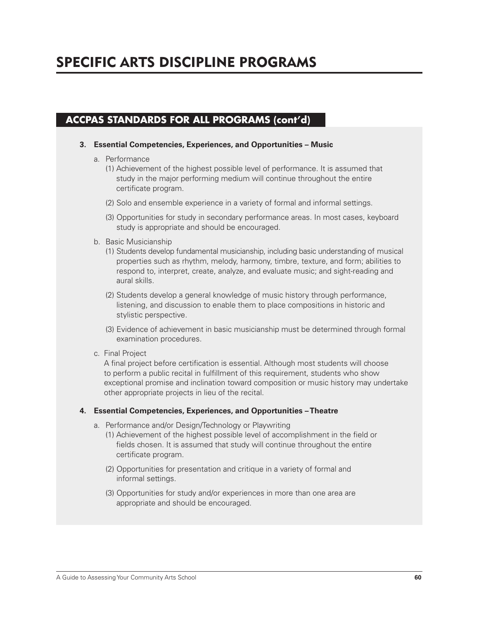#### **3. Essential Competencies, Experiences, and Opportunities – Music**

- a. Performance
	- (1) Achievement of the highest possible level of performance. It is assumed that study in the major performing medium will continue throughout the entire certificate program.
	- (2) Solo and ensemble experience in a variety of formal and informal settings.
	- (3) Opportunities for study in secondary performance areas. In most cases, keyboard study is appropriate and should be encouraged.
- b. Basic Musicianship
	- (1) Students develop fundamental musicianship, including basic understanding of musical properties such as rhythm, melody, harmony, timbre, texture, and form; abilities to respond to, interpret, create, analyze, and evaluate music; and sight-reading and aural skills.
	- (2) Students develop a general knowledge of music history through performance, listening, and discussion to enable them to place compositions in historic and stylistic perspective.
	- (3) Evidence of achievement in basic musicianship must be determined through formal examination procedures.
- c. Final Project

A final project before certification is essential. Although most students will choose to perform a public recital in fulfillment of this requirement, students who show exceptional promise and inclination toward composition or music history may undertake other appropriate projects in lieu of the recital.

#### **4. Essential Competencies, Experiences, and Opportunities – Theatre**

- a. Performance and/or Design/Technology or Playwriting
	- (1) Achievement of the highest possible level of accomplishment in the field or fields chosen. It is assumed that study will continue throughout the entire certificate program.
	- (2) Opportunities for presentation and critique in a variety of formal and informal settings.
	- (3) Opportunities for study and/or experiences in more than one area are appropriate and should be encouraged.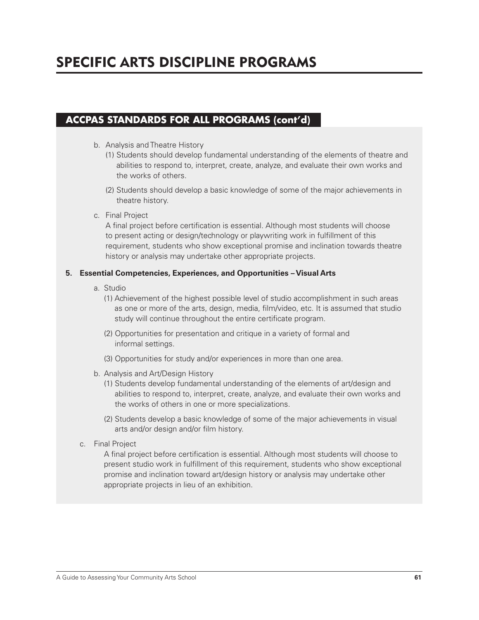# SPECIFIC ARTS DISCIPLINE PROGRAMS

## **ACCPAS STANDARDS FOR ALL PROGRAMS (cont'd)**

- b. Analysis and Theatre History
	- (1) Students should develop fundamental understanding of the elements of theatre and abilities to respond to, interpret, create, analyze, and evaluate their own works and the works of others.
	- (2) Students should develop a basic knowledge of some of the major achievements in theatre history.
- c. Final Project

A final project before certification is essential. Although most students will choose to present acting or design/technology or playwriting work in fulfillment of this requirement, students who show exceptional promise and inclination towards theatre history or analysis may undertake other appropriate projects.

### **5. Essential Competencies, Experiences, and Opportunities – Visual Arts**

- a. Studio
	- (1) Achievement of the highest possible level of studio accomplishment in such areas as one or more of the arts, design, media, film/video, etc. It is assumed that studio study will continue throughout the entire certificate program.
	- (2) Opportunities for presentation and critique in a variety of formal and informal settings.
	- (3) Opportunities for study and/or experiences in more than one area.
- b. Analysis and Art/Design History
	- (1) Students develop fundamental understanding of the elements of art/design and abilities to respond to, interpret, create, analyze, and evaluate their own works and the works of others in one or more specializations.
	- (2) Students develop a basic knowledge of some of the major achievements in visual arts and/or design and/or film history.
- c. Final Project

A final project before certification is essential. Although most students will choose to present studio work in fulfillment of this requirement, students who show exceptional promise and inclination toward art/design history or analysis may undertake other appropriate projects in lieu of an exhibition.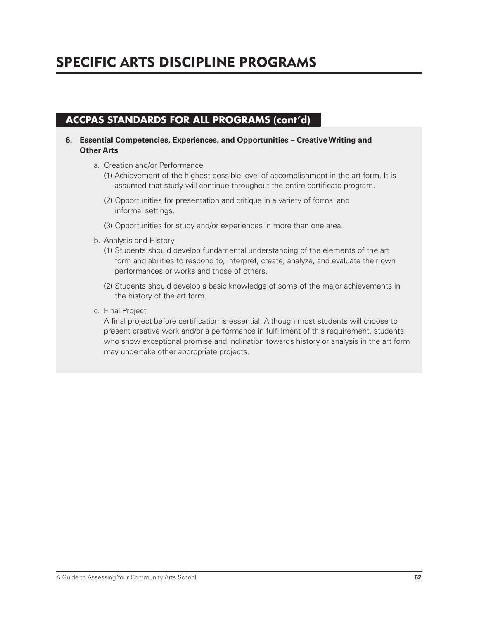# SPECIFIC ARTS DISCIPLINE PROGRAMS

## **ACCPAS STANDARDS FOR ALL PROGRAMS (cont'd)**

- **6. Essential Competencies, Experiences, and Opportunities Creative Writing and Other Arts**
	- a. Creation and/or Performance
		- (1) Achievement of the highest possible level of accomplishment in the art form. It is assumed that study will continue throughout the entire certificate program.
		- (2) Opportunities for presentation and critique in a variety of formal and informal settings.
		- (3) Opportunities for study and/or experiences in more than one area.
	- b. Analysis and History
		- (1) Students should develop fundamental understanding of the elements of the art form and abilities to respond to, interpret, create, analyze, and evaluate their own performances or works and those of others.
		- (2) Students should develop a basic knowledge of some of the major achievements in the history of the art form.
	- c. Final Project

A final project before certification is essential. Although most students will choose to present creative work and/or a performance in fulfillment of this requirement, students who show exceptional promise and inclination towards history or analysis in the art form may undertake other appropriate projects.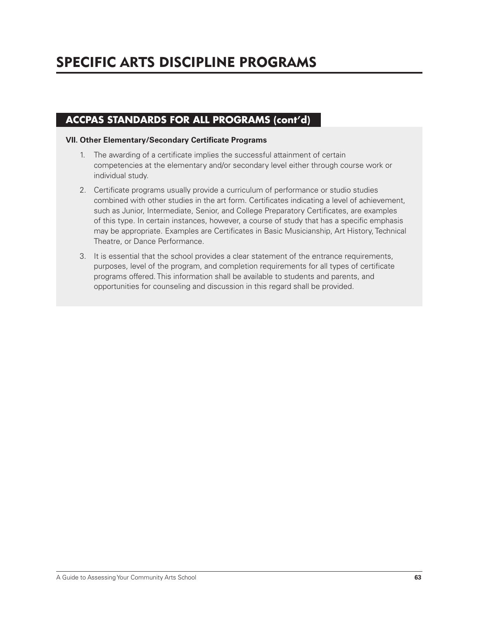### **VII. Other Elementary/Secondary Certificate Programs**

- 1. The awarding of a certificate implies the successful attainment of certain competencies at the elementary and/or secondary level either through course work or individual study.
- 2. Certificate programs usually provide a curriculum of performance or studio studies combined with other studies in the art form. Certificates indicating a level of achievement, such as Junior, Intermediate, Senior, and College Preparatory Certificates, are examples of this type. In certain instances, however, a course of study that has a specific emphasis may be appropriate. Examples are Certificates in Basic Musicianship, Art History, Technical Theatre, or Dance Performance.
- 3. It is essential that the school provides a clear statement of the entrance requirements, purposes, level of the program, and completion requirements for all types of certificate programs offered. This information shall be available to students and parents, and opportunities for counseling and discussion in this regard shall be provided.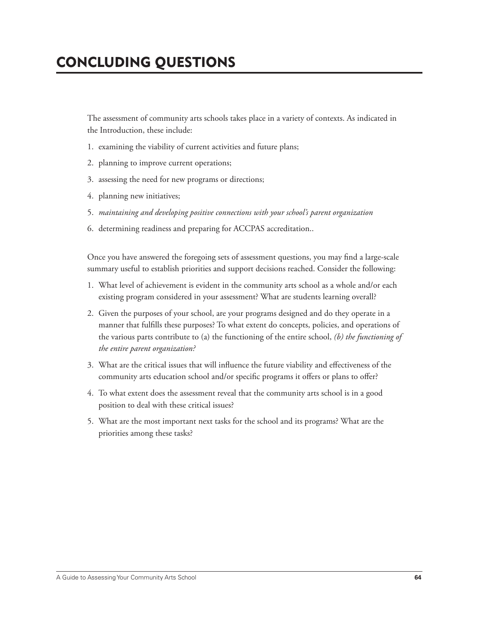# CONCLUDING QUESTIONS

 The assessment of community arts schools takes place in a variety of contexts. As indicated in the Introduction, these include:

- 1. examining the viability of current activities and future plans;
- 2. planning to improve current operations;
- 3. assessing the need for new programs or directions;
- 4. planning new initiatives;
- 5. *maintaining and developing positive connections with your school's parent organization*
- 6. determining readiness and preparing for ACCPAS accreditation..

Once you have answered the foregoing sets of assessment questions, you may find a large-scale summary useful to establish priorities and support decisions reached. Consider the following:

- 1. What level of achievement is evident in the community arts school as a whole and/or each existing program considered in your assessment? What are students learning overall?
- 2. Given the purposes of your school, are your programs designed and do they operate in a manner that fulfills these purposes? To what extent do concepts, policies, and operations of the various parts contribute to (a) the functioning of the entire school, *(b) the functioning of the entire parent organization?*
- 3. What are the critical issues that will influence the future viability and effectiveness of the community arts education school and/or specific programs it offers or plans to offer?
- 4. To what extent does the assessment reveal that the community arts school is in a good position to deal with these critical issues?
- 5. What are the most important next tasks for the school and its programs? What are the priorities among these tasks?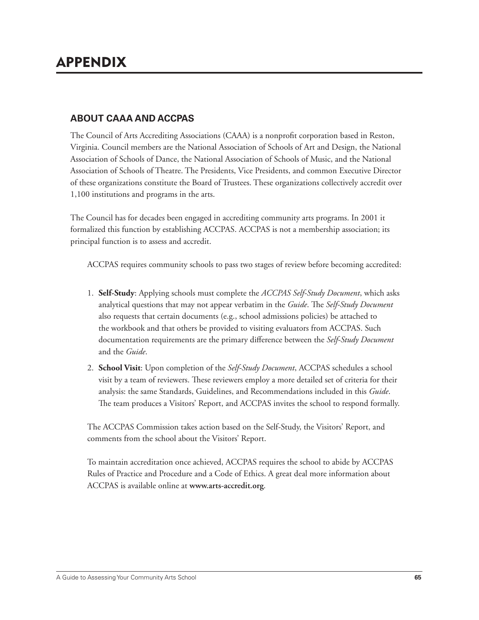## **ABOUT CAAA AND ACCPAS**

The Council of Arts Accrediting Associations (CAAA) is a nonprofit corporation based in Reston, Virginia. Council members are the National Association of Schools of Art and Design, the National Association of Schools of Dance, the National Association of Schools of Music, and the National Association of Schools of Theatre. The Presidents, Vice Presidents, and common Executive Director of these organizations constitute the Board of Trustees. These organizations collectively accredit over 1,100 institutions and programs in the arts.

 The Council has for decades been engaged in accrediting community arts programs. In 2001 it formalized this function by establishing ACCPAS. ACCPAS is not a membership association; its principal function is to assess and accredit.

ACCPAS requires community schools to pass two stages of review before becoming accredited:

- 1. **Self-Study**: Applying schools must complete the *ACCPAS Self-Study Document*, which asks analytical questions that may not appear verbatim in the *Guide*. The *Self-Study Document* also requests that certain documents (e.g., school admissions policies) be attached to the workbook and that others be provided to visiting evaluators from ACCPAS. Such documentation requirements are the primary difference between the *Self-Study Document* and the *Guide*.
- 2. **School Visit**: Upon completion of the *Self-Study Document*, ACCPAS schedules a school visit by a team of reviewers. These reviewers employ a more detailed set of criteria for their analysis: the same Standards, Guidelines, and Recommendations included in this *Guide*. The team produces a Visitors' Report, and ACCPAS invites the school to respond formally.

 The ACCPAS Commission takes action based on the Self-Study, the Visitors' Report, and comments from the school about the Visitors' Report.

 To maintain accreditation once achieved, ACCPAS requires the school to abide by ACCPAS Rules of Practice and Procedure and a Code of Ethics. A great deal more information about ACCPAS is available online at **www.arts-accredit.org**.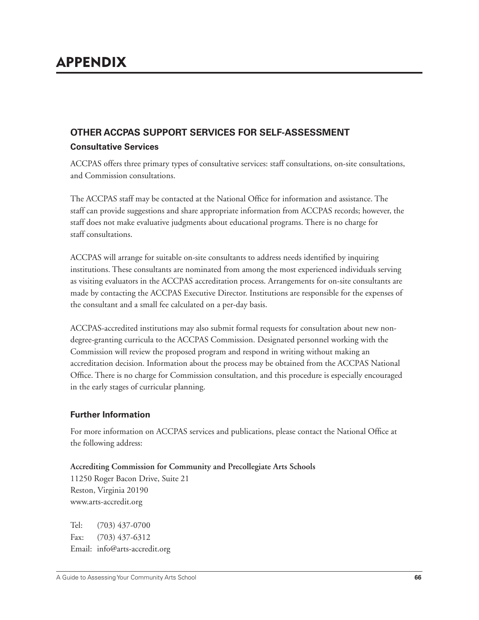# **OTHER ACCPAS SUPPORT SERVICES FOR SELF-ASSESSMENT Consultative Services**

ACCPAS offers three primary types of consultative services: staff consultations, on-site consultations, and Commission consultations.

The ACCPAS staff may be contacted at the National Office for information and assistance. The staff can provide suggestions and share appropriate information from ACCPAS records; however, the staff does not make evaluative judgments about educational programs. There is no charge for staff consultations.

ACCPAS will arrange for suitable on-site consultants to address needs identified by inquiring institutions. These consultants are nominated from among the most experienced individuals serving as visiting evaluators in the ACCPAS accreditation process. Arrangements for on-site consultants are made by contacting the ACCPAS Executive Director. Institutions are responsible for the expenses of the consultant and a small fee calculated on a per-day basis.

 ACCPAS-accredited institutions may also submit formal requests for consultation about new nondegree-granting curricula to the ACCPAS Commission. Designated personnel working with the Commission will review the proposed program and respond in writing without making an accreditation decision. Information about the process may be obtained from the ACCPAS National Office. There is no charge for Commission consultation, and this procedure is especially encouraged in the early stages of curricular planning.

## **Further Information**

For more information on ACCPAS services and publications, please contact the National Office at the following address:

**Accrediting Commission for Community and Precollegiate Arts Schools**

11250 Roger Bacon Drive, Suite 21 Reston, Virginia 20190 www.arts-accredit.org

Tel: (703) 437-0700 Fax: (703) 437-6312 Email: info@arts-accredit.org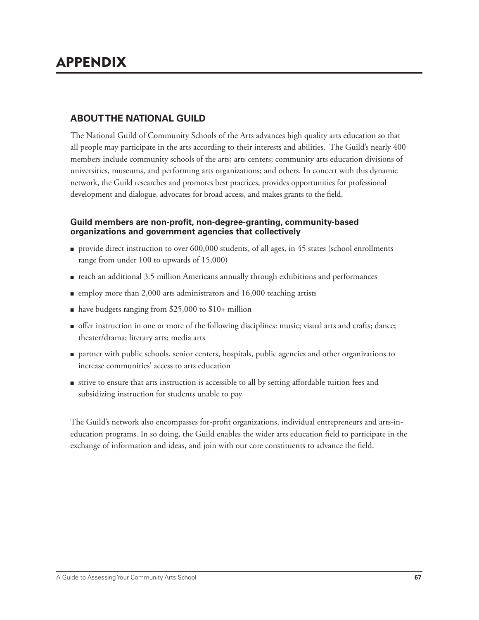## **ABOUT THE NATIONAL GUILD**

The National Guild of Community Schools of the Arts advances high quality arts education so that all people may participate in the arts according to their interests and abilities. The Guild's nearly 400 members include community schools of the arts; arts centers; community arts education divisions of universities, museums, and performing arts organizations; and others. In concert with this dynamic network, the Guild researches and promotes best practices, provides opportunities for professional development and dialogue, advocates for broad access, and makes grants to the field.

### Guild members are non-profit, non-degree-granting, community-based **organizations and government agencies that collectively**

- provide direct instruction to over 600,000 students, of all ages, in 45 states (school enrollments range from under 100 to upwards of 15,000)
- reach an additional 3.5 million Americans annually through exhibitions and performances
- employ more than 2,000 arts administrators and 16,000 teaching artists
- have budgets ranging from \$25,000 to \$10+ million
- offer instruction in one or more of the following disciplines: music; visual arts and crafts; dance; theater/drama; literary arts; media arts
- partner with public schools, senior centers, hospitals, public agencies and other organizations to increase communities' access to arts education
- strive to ensure that arts instruction is accessible to all by setting affordable tuition fees and subsidizing instruction for students unable to pay

The Guild's network also encompasses for-profit organizations, individual entrepreneurs and arts-ineducation programs. In so doing, the Guild enables the wider arts education field to participate in the exchange of information and ideas, and join with our core constituents to advance the field.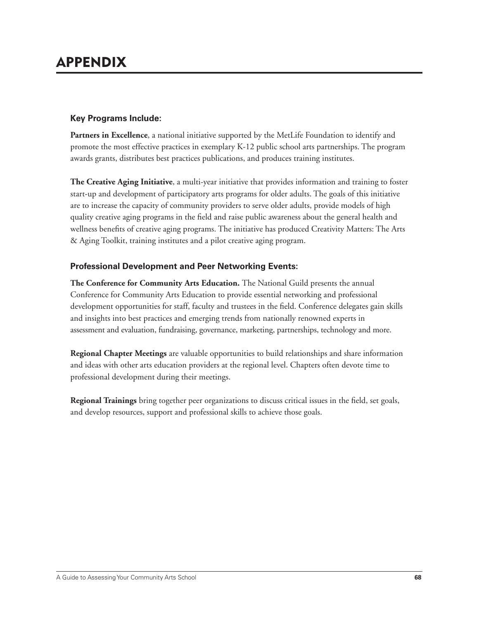# APPENDIX

### **Key Programs Include:**

**Partners in Excellence**, a national initiative supported by the MetLife Foundation to identify and promote the most effective practices in exemplary K-12 public school arts partnerships. The program awards grants, distributes best practices publications, and produces training institutes.

**The Creative Aging Initiative**, a multi-year initiative that provides information and training to foster start-up and development of participatory arts programs for older adults. The goals of this initiative are to increase the capacity of community providers to serve older adults, provide models of high quality creative aging programs in the field and raise public awareness about the general health and wellness benefits of creative aging programs. The initiative has produced Creativity Matters: The Arts & Aging Toolkit, training institutes and a pilot creative aging program.

### **Professional Development and Peer Networking Events:**

**The Conference for Community Arts Education.** The National Guild presents the annual Conference for Community Arts Education to provide essential networking and professional development opportunities for staff, faculty and trustees in the field. Conference delegates gain skills and insights into best practices and emerging trends from nationally renowned experts in assessment and evaluation, fundraising, governance, marketing, partnerships, technology and more.

**Regional Chapter Meetings** are valuable opportunities to build relationships and share information and ideas with other arts education providers at the regional level. Chapters often devote time to professional development during their meetings.

Regional Trainings bring together peer organizations to discuss critical issues in the field, set goals, and develop resources, support and professional skills to achieve those goals.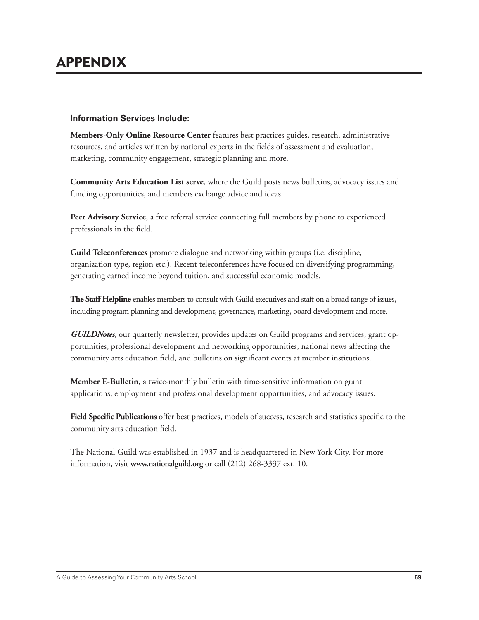### **Information Services Include:**

**Members-Only Online Resource Center** features best practices guides, research, administrative resources, and articles written by national experts in the fields of assessment and evaluation, marketing, community engagement, strategic planning and more.

**Community Arts Education List serve**, where the Guild posts news bulletins, advocacy issues and funding opportunities, and members exchange advice and ideas.

**Peer Advisory Service**, a free referral service connecting full members by phone to experienced professionals in the field.

**Guild Teleconferences** promote dialogue and networking within groups (i.e. discipline, organization type, region etc.). Recent teleconferences have focused on diversifying programming, generating earned income beyond tuition, and successful economic models.

**The Staff Helpline** enables members to consult with Guild executives and staff on a broad range of issues, including program planning and development, governance, marketing, board development and more.

*GUILDNotes*, our quarterly newsletter, provides updates on Guild programs and services, grant opportunities, professional development and networking opportunities, national news affecting the community arts education field, and bulletins on significant events at member institutions.

**Member E-Bulletin**, a twice-monthly bulletin with time-sensitive information on grant applications, employment and professional development opportunities, and advocacy issues.

Field Specific Publications offer best practices, models of success, research and statistics specific to the community arts education field.

The National Guild was established in 1937 and is headquartered in New York City. For more information, visit **www.nationalguild.org** or call (212) 268-3337 ext. 10.